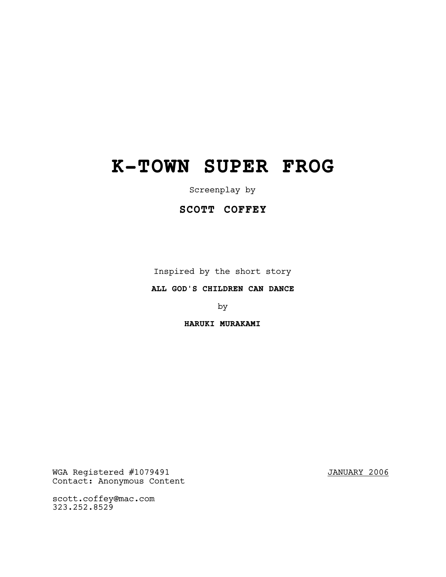# **K-TOWN SUPER FROG**

Screenplay by

# **SCOTT COFFEY**

Inspired by the short story

# **ALL GOD'S CHILDREN CAN DANCE**

by

# **HARUKI MURAKAMI**

WGA Registered #1079491 JANUARY 2006 Contact: Anonymous Content

scott.coffey@mac.com 323.252.8529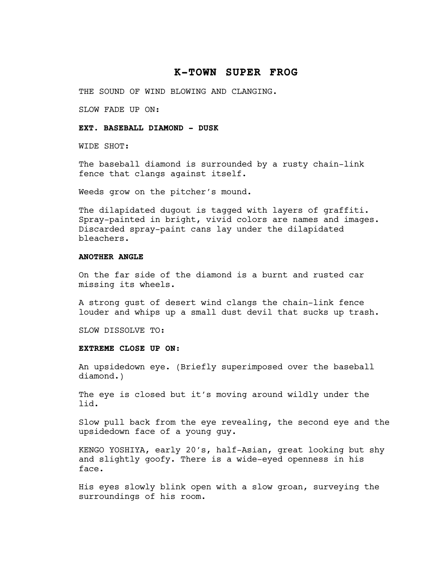# **K-TOWN SUPER FROG**

THE SOUND OF WIND BLOWING AND CLANGING.

SLOW FADE UP ON:

# **EXT. BASEBALL DIAMOND - DUSK**

WIDE SHOT:

The baseball diamond is surrounded by a rusty chain-link fence that clangs against itself.

Weeds grow on the pitcher's mound.

The dilapidated dugout is tagged with layers of graffiti. Spray-painted in bright, vivid colors are names and images. Discarded spray-paint cans lay under the dilapidated bleachers.

# **ANOTHER ANGLE**

On the far side of the diamond is a burnt and rusted car missing its wheels.

A strong gust of desert wind clangs the chain-link fence louder and whips up a small dust devil that sucks up trash.

SLOW DISSOLVE TO:

# **EXTREME CLOSE UP ON:**

An upsidedown eye. (Briefly superimposed over the baseball diamond.)

The eye is closed but it's moving around wildly under the lid.

Slow pull back from the eye revealing, the second eye and the upsidedown face of a young guy.

KENGO YOSHIYA, early 20's, half-Asian, great looking but shy and slightly goofy. There is a wide-eyed openness in his face.

His eyes slowly blink open with a slow groan, surveying the surroundings of his room.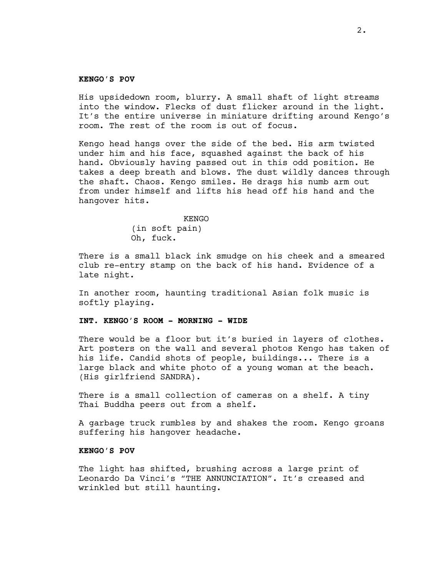#### **KENGO'S POV**

His upsidedown room, blurry. A small shaft of light streams into the window. Flecks of dust flicker around in the light. It's the entire universe in miniature drifting around Kengo's room. The rest of the room is out of focus.

Kengo head hangs over the side of the bed. His arm twisted under him and his face, squashed against the back of his hand. Obviously having passed out in this odd position. He takes a deep breath and blows. The dust wildly dances through the shaft. Chaos. Kengo smiles. He drags his numb arm out from under himself and lifts his head off his hand and the hangover hits.

> **KENGO** (in soft pain) Oh, fuck.

There is a small black ink smudge on his cheek and a smeared club re-entry stamp on the back of his hand. Evidence of a late night.

In another room, haunting traditional Asian folk music is softly playing.

# **INT. KENGO'S ROOM - MORNING - WIDE**

There would be a floor but it's buried in layers of clothes. Art posters on the wall and several photos Kengo has taken of his life. Candid shots of people, buildings... There is a large black and white photo of a young woman at the beach. (His girlfriend SANDRA).

There is a small collection of cameras on a shelf. A tiny Thai Buddha peers out from a shelf.

A garbage truck rumbles by and shakes the room. Kengo groans suffering his hangover headache.

#### **KENGO'S POV**

The light has shifted, brushing across a large print of Leonardo Da Vinci's "THE ANNUNCIATION". It's creased and wrinkled but still haunting.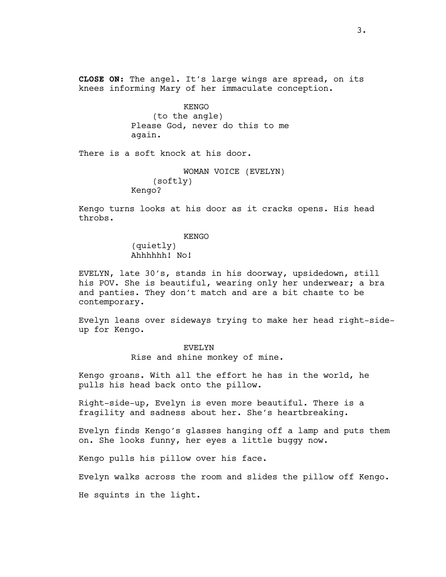**CLOSE ON:** The angel. It's large wings are spread, on its knees informing Mary of her immaculate conception.

> KENGO (to the angle) Please God, never do this to me again.

There is a soft knock at his door.

```
WOMAN VOICE (EVELYN)
    (softly)
Kengo?
```
Kengo turns looks at his door as it cracks opens. His head throbs.

#### KENGO

(quietly) Ahhhhhh! No!

EVELYN, late 30's, stands in his doorway, upsidedown, still his POV. She is beautiful, wearing only her underwear; a bra and panties. They don't match and are a bit chaste to be contemporary.

Evelyn leans over sideways trying to make her head right-sideup for Kengo.

#### EVELYN

Rise and shine monkey of mine.

Kengo groans. With all the effort he has in the world, he pulls his head back onto the pillow.

Right-side-up, Evelyn is even more beautiful. There is a fragility and sadness about her. She's heartbreaking.

Evelyn finds Kengo's glasses hanging off a lamp and puts them on. She looks funny, her eyes a little buggy now.

Kengo pulls his pillow over his face.

Evelyn walks across the room and slides the pillow off Kengo.

He squints in the light.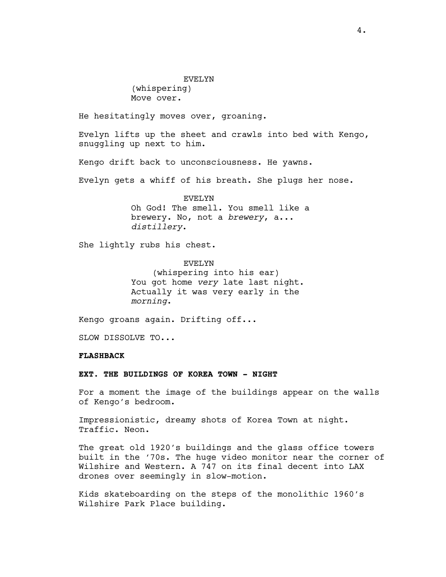(whispering) Move over.

He hesitatingly moves over, groaning.

Evelyn lifts up the sheet and crawls into bed with Kengo, snuggling up next to him.

Kengo drift back to unconsciousness. He yawns.

Evelyn gets a whiff of his breath. She plugs her nose.

EVELYN Oh God! The smell. You smell like a brewery. No, not a *brewery*, a... *distillery*.

She lightly rubs his chest.

EVELYN (whispering into his ear) You got home *very* late last night. Actually it was very early in the *morning*.

Kengo groans again. Drifting off...

SLOW DISSOLVE TO...

#### **FLASHBACK**

**EXT. THE BUILDINGS OF KOREA TOWN - NIGHT**

For a moment the image of the buildings appear on the walls of Kengo's bedroom.

Impressionistic, dreamy shots of Korea Town at night. Traffic. Neon.

The great old 1920's buildings and the glass office towers built in the '70s. The huge video monitor near the corner of Wilshire and Western. A 747 on its final decent into LAX drones over seemingly in slow-motion.

Kids skateboarding on the steps of the monolithic 1960's Wilshire Park Place building.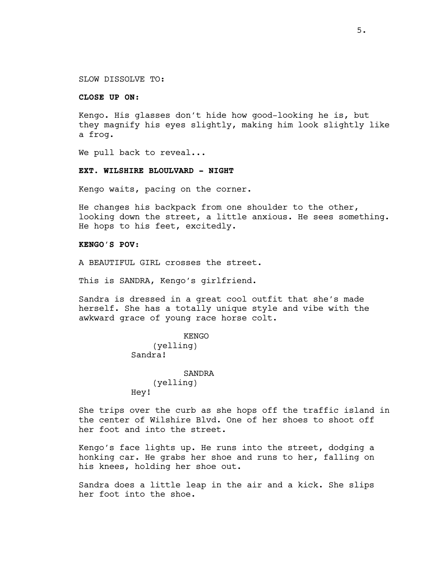SLOW DISSOLVE TO:

# **CLOSE UP ON**:

Kengo. His glasses don't hide how good-looking he is, but they magnify his eyes slightly, making him look slightly like a frog.

We pull back to reveal...

#### **EXT. WILSHIRE BLOULVARD - NIGHT**

Kengo waits, pacing on the corner.

He changes his backpack from one shoulder to the other, looking down the street, a little anxious. He sees something. He hops to his feet, excitedly.

#### **KENGO'S POV:**

A BEAUTIFUL GIRL crosses the street.

This is SANDRA, Kengo's girlfriend.

Sandra is dressed in a great cool outfit that she's made herself. She has a totally unique style and vibe with the awkward grace of young race horse colt.

```
KENGO
    (yelling)
Sandra!
           SANDRA
    (yelling)
Hey!
```
She trips over the curb as she hops off the traffic island in the center of Wilshire Blvd. One of her shoes to shoot off her foot and into the street.

Kengo's face lights up. He runs into the street, dodging a honking car. He grabs her shoe and runs to her, falling on his knees, holding her shoe out.

Sandra does a little leap in the air and a kick. She slips her foot into the shoe.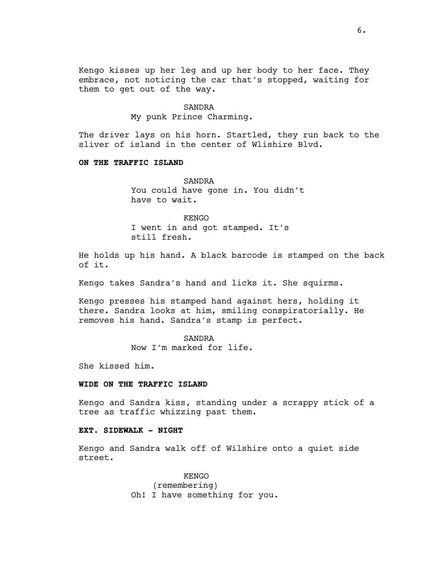Kengo kisses up her leg and up her body to her face. They embrace, not noticing the car that's stopped, waiting for them to get out of the way.

#### SANDRA

My punk Prince Charming.

The driver lays on his horn. Startled, they run back to the sliver of island in the center of Wlishire Blvd.

#### **ON THE TRAFFIC ISLAND**

SANDRA You could have gone in. You didn't have to wait.

KENGO I went in and got stamped. It's still fresh.

He holds up his hand. A black barcode is stamped on the back of it.

Kengo takes Sandra's hand and licks it. She squirms.

Kengo presses his stamped hand against hers, holding it there. Sandra looks at him, smiling conspiratorially. He removes his hand. Sandra's stamp is perfect.

> SANDRA Now I'm marked for life.

She kissed him.

# **WIDE ON THE TRAFFIC ISLAND**

Kengo and Sandra kiss, standing under a scrappy stick of a tree as traffic whizzing past them.

# **EXT. SIDEWALK - NIGHT**

Kengo and Sandra walk off of Wilshire onto a quiet side street.

> KENGO (remembering) Oh! I have something for you.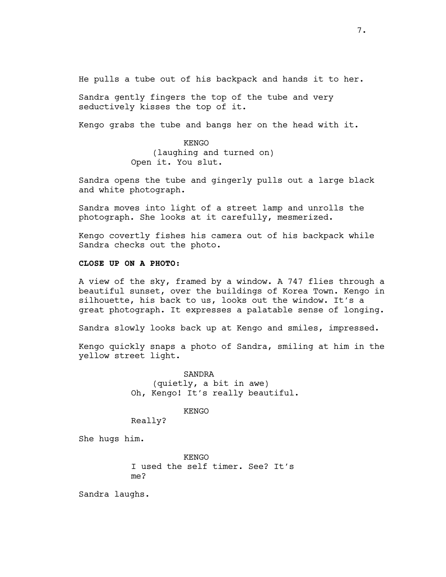He pulls a tube out of his backpack and hands it to her.

Sandra gently fingers the top of the tube and very seductively kisses the top of it.

Kengo grabs the tube and bangs her on the head with it.

KENGO (laughing and turned on) Open it. You slut.

Sandra opens the tube and gingerly pulls out a large black and white photograph.

Sandra moves into light of a street lamp and unrolls the photograph. She looks at it carefully, mesmerized.

Kengo covertly fishes his camera out of his backpack while Sandra checks out the photo.

# **CLOSE UP ON A PHOTO:**

A view of the sky, framed by a window. A 747 flies through a beautiful sunset, over the buildings of Korea Town. Kengo in silhouette, his back to us, looks out the window. It's a great photograph. It expresses a palatable sense of longing.

Sandra slowly looks back up at Kengo and smiles, impressed.

Kengo quickly snaps a photo of Sandra, smiling at him in the yellow street light.

> SANDRA (quietly, a bit in awe) Oh, Kengo! It's really beautiful.

> > KENGO

Really?

She hugs him.

KENGO I used the self timer. See? It's me?

Sandra laughs.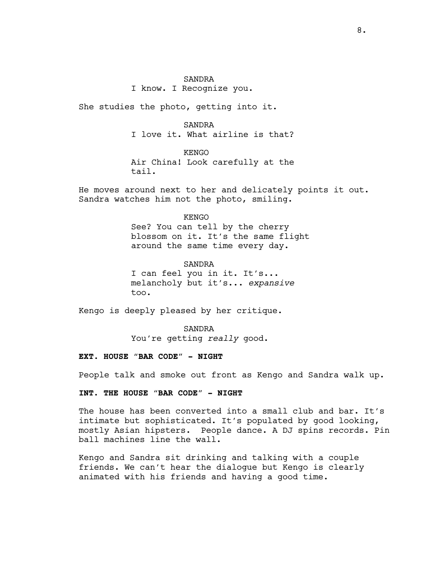#### SANDRA

I know. I Recognize you.

She studies the photo, getting into it.

# SANDRA I love it. What airline is that?

KENGO

Air China! Look carefully at the tail.

He moves around next to her and delicately points it out. Sandra watches him not the photo, smiling.

#### KENGO

See? You can tell by the cherry blossom on it. It's the same flight around the same time every day.

SANDRA

I can feel you in it. It's... melancholy but it's... *expansive* too.

Kengo is deeply pleased by her critique.

SANDRA You're getting *really* good.

# **EXT. HOUSE "BAR CODE" - NIGHT**

People talk and smoke out front as Kengo and Sandra walk up.

# **INT. THE HOUSE "BAR CODE" - NIGHT**

The house has been converted into a small club and bar. It's intimate but sophisticated. It's populated by good looking, mostly Asian hipsters. People dance. A DJ spins records. Pin ball machines line the wall.

Kengo and Sandra sit drinking and talking with a couple friends. We can't hear the dialogue but Kengo is clearly animated with his friends and having a good time.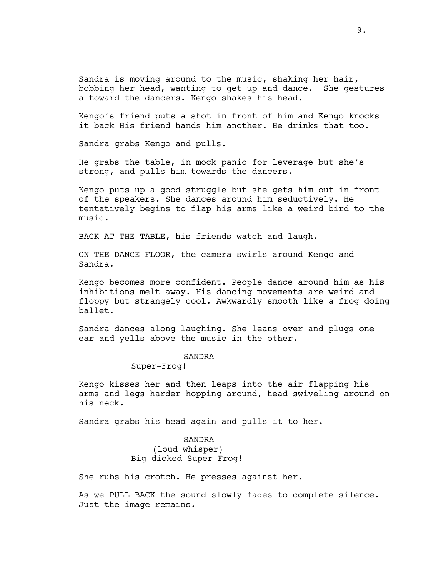Sandra is moving around to the music, shaking her hair, bobbing her head, wanting to get up and dance. She gestures a toward the dancers. Kengo shakes his head.

Kengo's friend puts a shot in front of him and Kengo knocks it back His friend hands him another. He drinks that too.

Sandra grabs Kengo and pulls.

He grabs the table, in mock panic for leverage but she's strong, and pulls him towards the dancers.

Kengo puts up a good struggle but she gets him out in front of the speakers. She dances around him seductively. He tentatively begins to flap his arms like a weird bird to the music.

BACK AT THE TABLE, his friends watch and laugh.

ON THE DANCE FLOOR, the camera swirls around Kengo and Sandra.

Kengo becomes more confident. People dance around him as his inhibitions melt away. His dancing movements are weird and floppy but strangely cool. Awkwardly smooth like a frog doing ballet.

Sandra dances along laughing. She leans over and plugs one ear and yells above the music in the other.

#### SANDRA

# Super-Frog!

Kengo kisses her and then leaps into the air flapping his arms and legs harder hopping around, head swiveling around on his neck.

Sandra grabs his head again and pulls it to her.

SANDRA (loud whisper) Big dicked Super-Frog!

She rubs his crotch. He presses against her.

As we PULL BACK the sound slowly fades to complete silence. Just the image remains.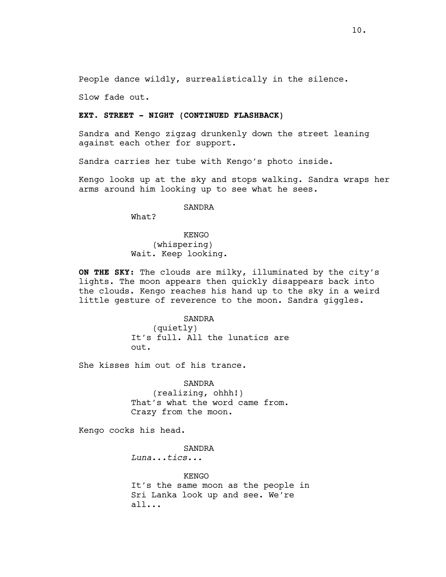People dance wildly, surrealistically in the silence.

Slow fade out.

#### **EXT. STREET - NIGHT (CONTINUED FLASHBACK)**

Sandra and Kengo zigzag drunkenly down the street leaning against each other for support.

Sandra carries her tube with Kengo's photo inside.

Kengo looks up at the sky and stops walking. Sandra wraps her arms around him looking up to see what he sees.

SANDRA

What?

KENGO (whispering) Wait. Keep looking.

**ON THE SKY:** The clouds are milky, illuminated by the city's lights. The moon appears then quickly disappears back into the clouds. Kengo reaches his hand up to the sky in a weird little gesture of reverence to the moon. Sandra giggles.

> SANDRA (quietly) It's full. All the lunatics are out.

She kisses him out of his trance.

SANDRA (realizing, ohhh!) That's what the word came from. Crazy from the moon.

Kengo cocks his head.

SANDRA

*Luna...tics...*

KENGO It's the same moon as the people in Sri Lanka look up and see. We're all...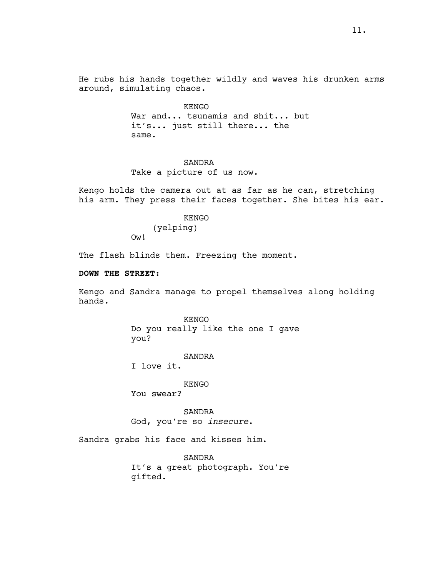He rubs his hands together wildly and waves his drunken arms around, simulating chaos.

> KENGO War and... tsunamis and shit... but it's... just still there... the same.

# SANDRA

Take a picture of us now.

Kengo holds the camera out at as far as he can, stretching his arm. They press their faces together. She bites his ear.

> KENGO (yelping) Ow!

The flash blinds them. Freezing the moment.

# **DOWN THE STREET:**

Kengo and Sandra manage to propel themselves along holding hands.

> KENGO Do you really like the one I gave you?

> > SANDRA

I love it.

KENGO

You swear?

SANDRA God, you're so *insecure*.

Sandra grabs his face and kisses him.

SANDRA It's a great photograph. You're gifted.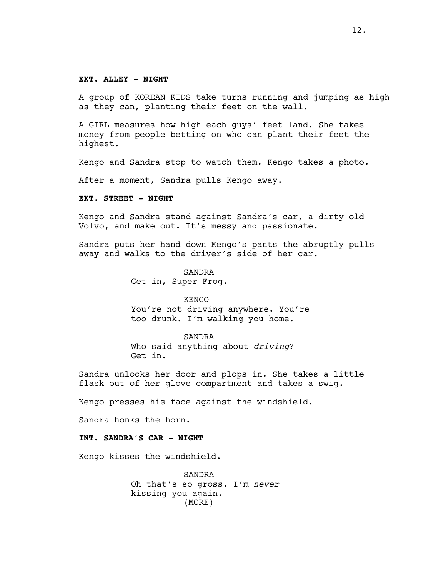#### **EXT. ALLEY - NIGHT**

A group of KOREAN KIDS take turns running and jumping as high as they can, planting their feet on the wall.

A GIRL measures how high each guys' feet land. She takes money from people betting on who can plant their feet the highest.

Kengo and Sandra stop to watch them. Kengo takes a photo.

After a moment, Sandra pulls Kengo away.

#### **EXT. STREET - NIGHT**

Kengo and Sandra stand against Sandra's car, a dirty old Volvo, and make out. It's messy and passionate.

Sandra puts her hand down Kengo's pants the abruptly pulls away and walks to the driver's side of her car.

> SANDRA Get in, Super-Frog.

> > KENGO

You're not driving anywhere. You're too drunk. I'm walking you home.

SANDRA Who said anything about *driving*? Get in.

Sandra unlocks her door and plops in. She takes a little flask out of her glove compartment and takes a swig.

Kengo presses his face against the windshield.

Sandra honks the horn.

# **INT. SANDRA'S CAR - NIGHT**

Kengo kisses the windshield.

SANDRA Oh that's so gross. I'm *never* kissing you again. (MORE)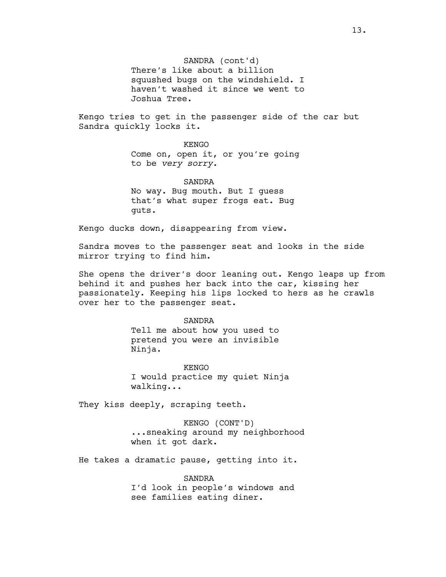# SANDRA (cont'd)

There's like about a billion squushed bugs on the windshield. I haven't washed it since we went to Joshua Tree.

Kengo tries to get in the passenger side of the car but Sandra quickly locks it.

> KENGO Come on, open it, or you're going to be *very sorry*.

SANDRA No way. Bug mouth. But I guess that's what super frogs eat. Bug guts.

Kengo ducks down, disappearing from view.

Sandra moves to the passenger seat and looks in the side mirror trying to find him.

She opens the driver's door leaning out. Kengo leaps up from behind it and pushes her back into the car, kissing her passionately. Keeping his lips locked to hers as he crawls over her to the passenger seat.

#### SANDRA

Tell me about how you used to pretend you were an invisible Ninja.

KENGO I would practice my quiet Ninja walking...

They kiss deeply, scraping teeth.

KENGO (CONT'D) ...sneaking around my neighborhood when it got dark.

He takes a dramatic pause, getting into it.

SANDRA I'd look in people's windows and see families eating diner.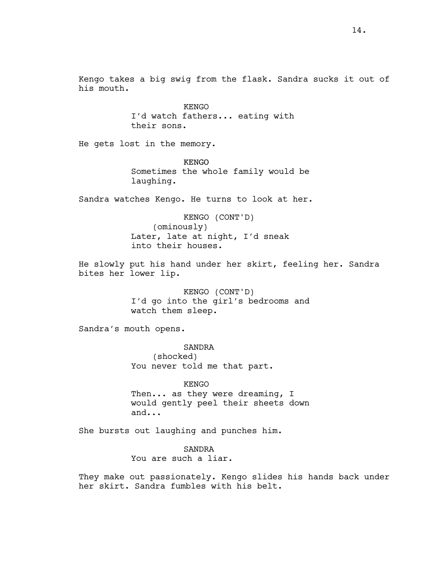Kengo takes a big swig from the flask. Sandra sucks it out of his mouth.

> KENGO I'd watch fathers... eating with their sons.

He gets lost in the memory.

KENGO Sometimes the whole family would be laughing.

Sandra watches Kengo. He turns to look at her.

KENGO (CONT'D) (ominously) Later, late at night, I'd sneak into their houses.

He slowly put his hand under her skirt, feeling her. Sandra bites her lower lip.

> KENGO (CONT'D) I'd go into the girl's bedrooms and watch them sleep.

Sandra's mouth opens.

SANDRA (shocked) You never told me that part.

KENGO Then... as they were dreaming, I would gently peel their sheets down and...

She bursts out laughing and punches him.

SANDRA You are such a liar.

They make out passionately. Kengo slides his hands back under her skirt. Sandra fumbles with his belt.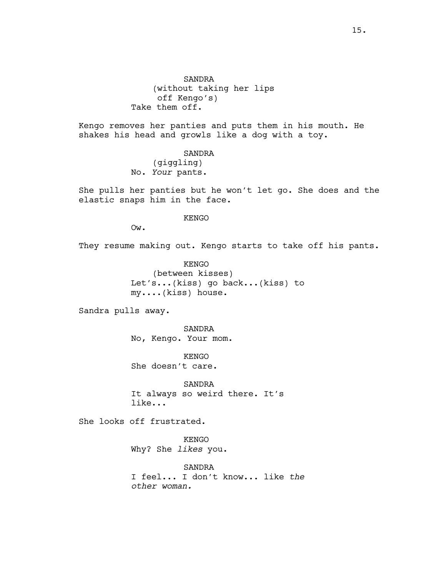SANDRA (without taking her lips off Kengo's) Take them off.

Kengo removes her panties and puts them in his mouth. He shakes his head and growls like a dog with a toy.

> SANDRA (giggling) No. *Your* pants.

She pulls her panties but he won't let go. She does and the elastic snaps him in the face.

# KENGO

Ow.

They resume making out. Kengo starts to take off his pants.

KENGO (between kisses) Let's...(kiss) go back...(kiss) to my....(kiss) house.

Sandra pulls away.

SANDRA No, Kengo. Your mom.

KENGO She doesn't care.

SANDRA It always so weird there. It's like...

She looks off frustrated.

KENGO Why? She *likes* you.

SANDRA I feel... I don't know... like *the other woman.*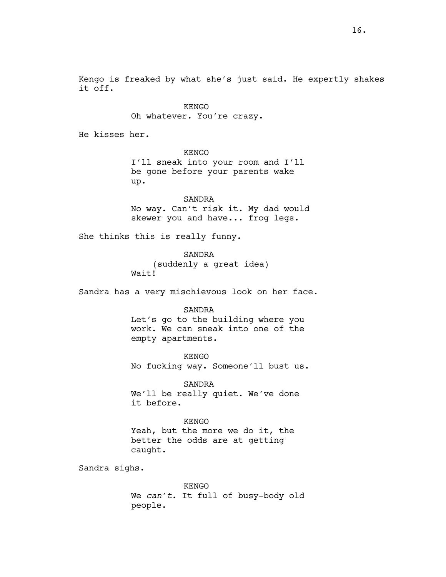Kengo is freaked by what she's just said. He expertly shakes it off.

> KENGO Oh whatever. You're crazy.

He kisses her.

KENGO I'll sneak into your room and I'll be gone before your parents wake up.

SANDRA No way. Can't risk it. My dad would skewer you and have... frog legs.

She thinks this is really funny.

SANDRA (suddenly a great idea) Wait!

Sandra has a very mischievous look on her face.

#### SANDRA

Let's go to the building where you work. We can sneak into one of the empty apartments.

KENGO No fucking way. Someone'll bust us.

SANDRA We'll be really quiet. We've done it before.

### KENGO

Yeah, but the more we do it, the better the odds are at getting caught.

Sandra sighs.

KENGO We *can't*. It full of busy-body old people.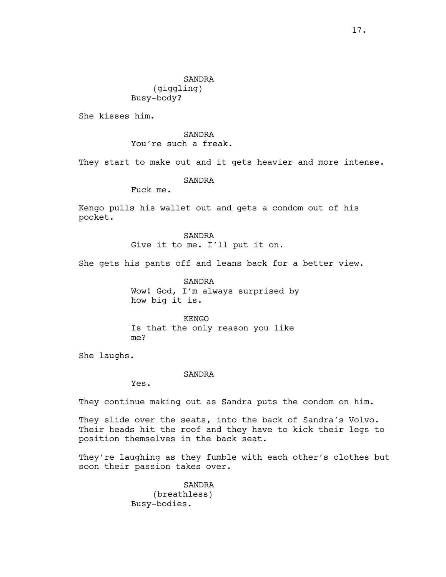She kisses him.

SANDRA You're such a freak.

They start to make out and it gets heavier and more intense.

SANDRA

Fuck me.

Kengo pulls his wallet out and gets a condom out of his pocket.

> SANDRA Give it to me. I'll put it on.

She gets his pants off and leans back for a better view.

SANDRA Wow! God, I'm always surprised by how big it is.

KENGO Is that the only reason you like me?

She laughs.

SANDRA

Yes.

They continue making out as Sandra puts the condom on him.

They slide over the seats, into the back of Sandra's Volvo. Their heads hit the roof and they have to kick their legs to position themselves in the back seat.

They're laughing as they fumble with each other's clothes but soon their passion takes over.

> SANDRA (breathless) Busy-bodies.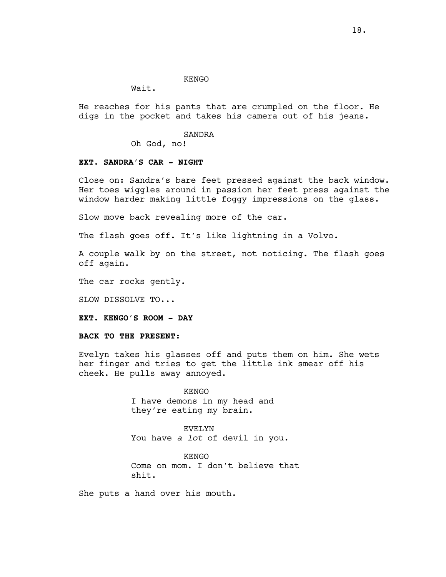#### KENGO

Wait.

He reaches for his pants that are crumpled on the floor. He digs in the pocket and takes his camera out of his jeans.

#### SANDRA

Oh God, no!

#### **EXT. SANDRA'S CAR - NIGHT**

Close on: Sandra's bare feet pressed against the back window. Her toes wiggles around in passion her feet press against the window harder making little foggy impressions on the glass.

Slow move back revealing more of the car.

The flash goes off. It's like lightning in a Volvo.

A couple walk by on the street, not noticing. The flash goes off again.

The car rocks gently.

SLOW DISSOLVE TO...

**EXT. KENGO'S ROOM - DAY**

**BACK TO THE PRESENT:**

Evelyn takes his glasses off and puts them on him. She wets her finger and tries to get the little ink smear off his cheek. He pulls away annoyed.

> KENGO I have demons in my head and they're eating my brain.

> > EVELYN

You have *a lot* of devil in you.

KENGO Come on mom. I don't believe that shit.

She puts a hand over his mouth.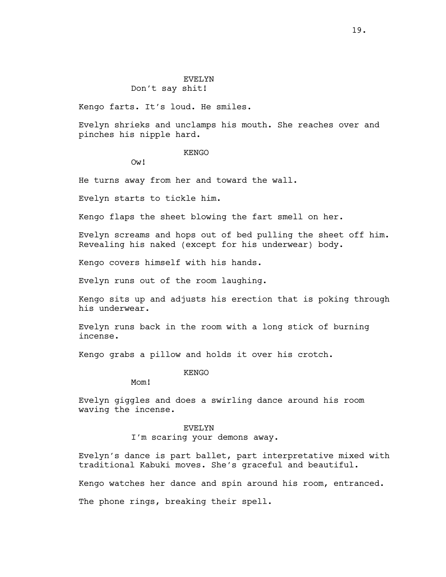# EVELYN

# Don't say shit!

Kengo farts. It's loud. He smiles.

Evelyn shrieks and unclamps his mouth. She reaches over and pinches his nipple hard.

#### KENGO

Ow!

He turns away from her and toward the wall.

Evelyn starts to tickle him.

Kengo flaps the sheet blowing the fart smell on her.

Evelyn screams and hops out of bed pulling the sheet off him. Revealing his naked (except for his underwear) body.

Kengo covers himself with his hands.

Evelyn runs out of the room laughing.

Kengo sits up and adjusts his erection that is poking through his underwear.

Evelyn runs back in the room with a long stick of burning incense.

Kengo grabs a pillow and holds it over his crotch.

KENGO

Mom!

Evelyn giggles and does a swirling dance around his room waving the incense.

#### EVELYN

I'm scaring your demons away.

Evelyn's dance is part ballet, part interpretative mixed with traditional Kabuki moves. She's graceful and beautiful.

Kengo watches her dance and spin around his room, entranced.

The phone rings, breaking their spell.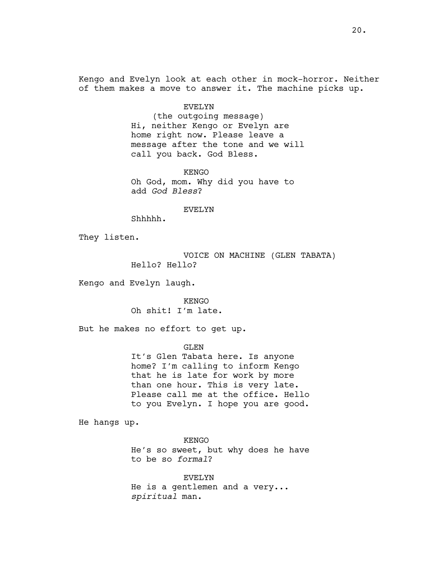Kengo and Evelyn look at each other in mock-horror. Neither of them makes a move to answer it. The machine picks up.

#### EVELYN

(the outgoing message) Hi, neither Kengo or Evelyn are home right now. Please leave a message after the tone and we will call you back. God Bless.

KENGO Oh God, mom. Why did you have to add *God Bless*?

#### EVELYN

Shhhhh.

They listen.

VOICE ON MACHINE (GLEN TABATA) Hello? Hello?

Kengo and Evelyn laugh.

KENGO Oh shit! I'm late.

But he makes no effort to get up.

GLEN

It's Glen Tabata here. Is anyone home? I'm calling to inform Kengo that he is late for work by more than one hour. This is very late. Please call me at the office. Hello to you Evelyn. I hope you are good.

He hangs up.

KENGO He's so sweet, but why does he have to be so *formal*?

EVELYN He is a gentlemen and a very... *spiritual* man.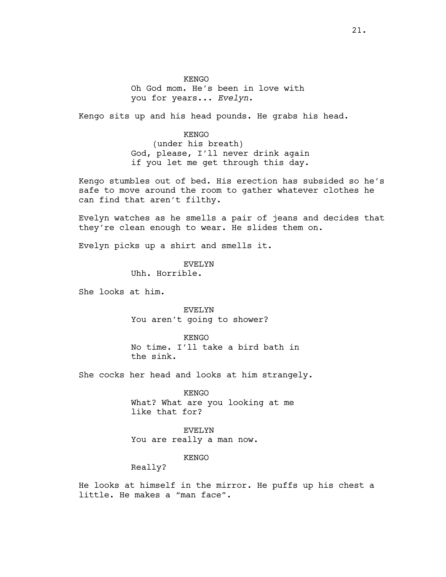**KENGO** Oh God mom. He's been in love with you for years... *Evelyn*.

Kengo sits up and his head pounds. He grabs his head.

KENGO (under his breath) God, please, I'll never drink again if you let me get through this day.

Kengo stumbles out of bed. His erection has subsided so he's safe to move around the room to gather whatever clothes he can find that aren't filthy.

Evelyn watches as he smells a pair of jeans and decides that they're clean enough to wear. He slides them on.

Evelyn picks up a shirt and smells it.

EVELYN Uhh. Horrible.

She looks at him.

EVELYN You aren't going to shower?

KENGO No time. I'll take a bird bath in the sink.

She cocks her head and looks at him strangely.

KENGO What? What are you looking at me like that for?

EVELYN You are really a man now.

KENGO

Really?

He looks at himself in the mirror. He puffs up his chest a little. He makes a "man face".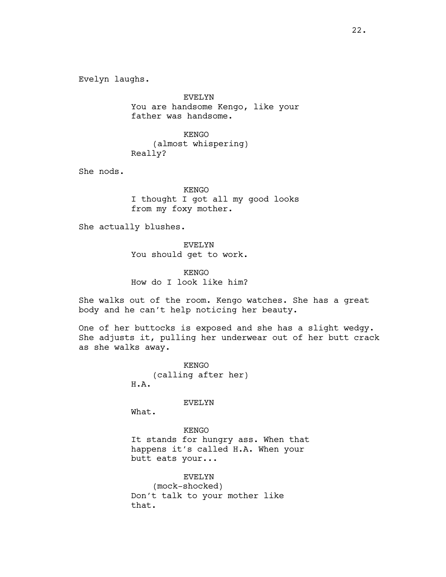Evelyn laughs.

EVELYN You are handsome Kengo, like your father was handsome.

KENGO (almost whispering) Really?

She nods.

KENGO I thought I got all my good looks from my foxy mother.

She actually blushes.

EVELYN You should get to work.

KENGO How do I look like him?

She walks out of the room. Kengo watches. She has a great body and he can't help noticing her beauty.

One of her buttocks is exposed and she has a slight wedgy. She adjusts it, pulling her underwear out of her butt crack as she walks away.

> KENGO (calling after her) H.A.

#### EVELYN

What.

KENGO It stands for hungry ass. When that happens it's called H.A. When your butt eats your...

EVELYN

(mock-shocked) Don't talk to your mother like that.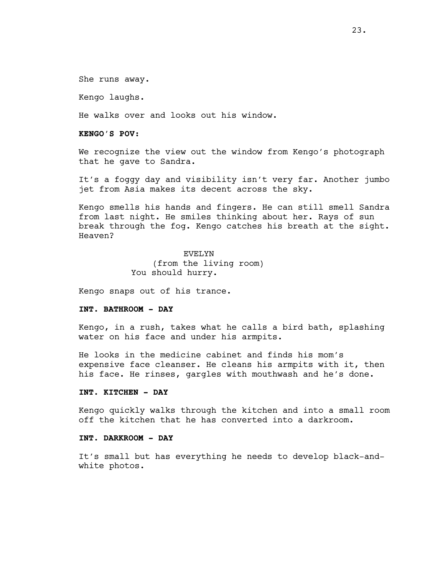She runs away.

Kengo laughs.

He walks over and looks out his window.

**KENGO'S POV:**

We recognize the view out the window from Kengo's photograph that he gave to Sandra.

It's a foggy day and visibility isn't very far. Another jumbo jet from Asia makes its decent across the sky.

Kengo smells his hands and fingers. He can still smell Sandra from last night. He smiles thinking about her. Rays of sun break through the fog. Kengo catches his breath at the sight. Heaven?

> EVELYN (from the living room) You should hurry.

Kengo snaps out of his trance.

# **INT. BATHROOM - DAY**

Kengo, in a rush, takes what he calls a bird bath, splashing water on his face and under his armpits.

He looks in the medicine cabinet and finds his mom's expensive face cleanser. He cleans his armpits with it, then his face. He rinses, gargles with mouthwash and he's done.

# **INT. KITCHEN - DAY**

Kengo quickly walks through the kitchen and into a small room off the kitchen that he has converted into a darkroom.

#### **INT. DARKROOM - DAY**

It's small but has everything he needs to develop black-andwhite photos.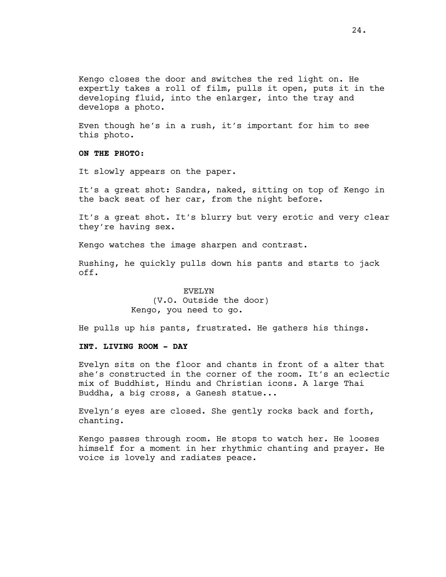Kengo closes the door and switches the red light on. He expertly takes a roll of film, pulls it open, puts it in the developing fluid, into the enlarger, into the tray and develops a photo.

Even though he's in a rush, it's important for him to see this photo.

**ON THE PHOTO:**

It slowly appears on the paper.

It's a great shot: Sandra, naked, sitting on top of Kengo in the back seat of her car, from the night before.

It's a great shot. It's blurry but very erotic and very clear they're having sex.

Kengo watches the image sharpen and contrast.

Rushing, he quickly pulls down his pants and starts to jack off.

# EVELYN (V.O. Outside the door) Kengo, you need to go.

He pulls up his pants, frustrated. He gathers his things.

# **INT. LIVING ROOM - DAY**

Evelyn sits on the floor and chants in front of a alter that she's constructed in the corner of the room. It's an eclectic mix of Buddhist, Hindu and Christian icons. A large Thai Buddha, a big cross, a Ganesh statue...

Evelyn's eyes are closed. She gently rocks back and forth, chanting.

Kengo passes through room. He stops to watch her. He looses himself for a moment in her rhythmic chanting and prayer. He voice is lovely and radiates peace.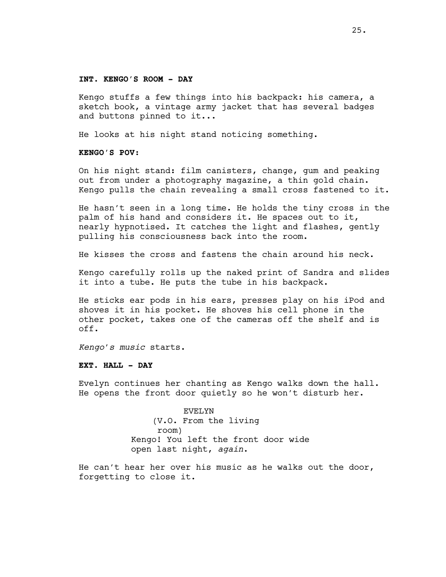#### **INT. KENGO'S ROOM - DAY**

Kengo stuffs a few things into his backpack: his camera, a sketch book, a vintage army jacket that has several badges and buttons pinned to it...

He looks at his night stand noticing something.

## **KENGO'S POV:**

On his night stand: film canisters, change, gum and peaking out from under a photography magazine, a thin gold chain. Kengo pulls the chain revealing a small cross fastened to it.

He hasn't seen in a long time. He holds the tiny cross in the palm of his hand and considers it. He spaces out to it, nearly hypnotised. It catches the light and flashes, gently pulling his consciousness back into the room.

He kisses the cross and fastens the chain around his neck.

Kengo carefully rolls up the naked print of Sandra and slides it into a tube. He puts the tube in his backpack.

He sticks ear pods in his ears, presses play on his iPod and shoves it in his pocket. He shoves his cell phone in the other pocket, takes one of the cameras off the shelf and is off.

*Kengo's music* starts.

#### **EXT. HALL - DAY**

Evelyn continues her chanting as Kengo walks down the hall. He opens the front door quietly so he won't disturb her.

> EVELYN (V.O. From the living room) Kengo! You left the front door wide open last night, *again*.

He can't hear her over his music as he walks out the door, forgetting to close it.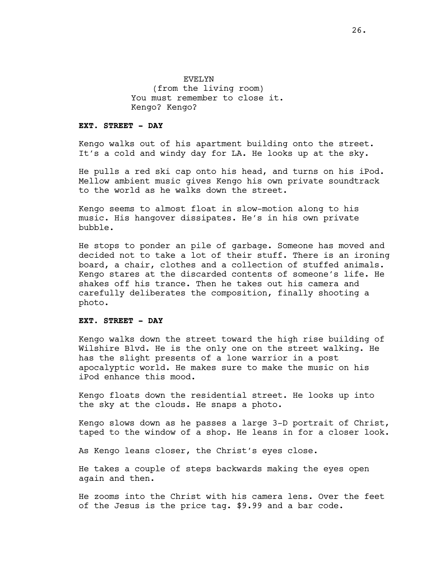EVELYN (from the living room) You must remember to close it. Kengo? Kengo?

#### **EXT. STREET - DAY**

Kengo walks out of his apartment building onto the street. It's a cold and windy day for LA. He looks up at the sky.

He pulls a red ski cap onto his head, and turns on his iPod. Mellow ambient music gives Kengo his own private soundtrack to the world as he walks down the street.

Kengo seems to almost float in slow-motion along to his music. His hangover dissipates. He's in his own private bubble.

He stops to ponder an pile of garbage. Someone has moved and decided not to take a lot of their stuff. There is an ironing board, a chair, clothes and a collection of stuffed animals. Kengo stares at the discarded contents of someone's life. He shakes off his trance. Then he takes out his camera and carefully deliberates the composition, finally shooting a photo.

#### **EXT. STREET - DAY**

Kengo walks down the street toward the high rise building of Wilshire Blvd. He is the only one on the street walking. He has the slight presents of a lone warrior in a post apocalyptic world. He makes sure to make the music on his iPod enhance this mood.

Kengo floats down the residential street. He looks up into the sky at the clouds. He snaps a photo.

Kengo slows down as he passes a large 3-D portrait of Christ, taped to the window of a shop. He leans in for a closer look.

As Kengo leans closer, the Christ's eyes close.

He takes a couple of steps backwards making the eyes open again and then.

He zooms into the Christ with his camera lens. Over the feet of the Jesus is the price tag. \$9.99 and a bar code.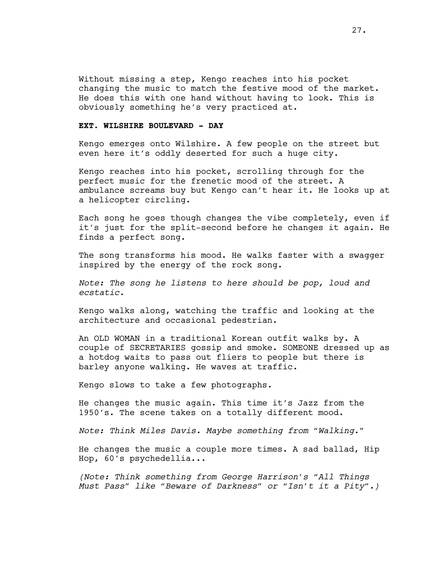Without missing a step, Kengo reaches into his pocket changing the music to match the festive mood of the market. He does this with one hand without having to look. This is obviously something he's very practiced at.

# **EXT. WILSHIRE BOULEVARD - DAY**

Kengo emerges onto Wilshire. A few people on the street but even here it's oddly deserted for such a huge city.

Kengo reaches into his pocket, scrolling through for the perfect music for the frenetic mood of the street. A ambulance screams buy but Kengo can't hear it. He looks up at a helicopter circling.

Each song he goes though changes the vibe completely, even if it's just for the split-second before he changes it again. He finds a perfect song.

The song transforms his mood. He walks faster with a swagger inspired by the energy of the rock song.

*Note: The song he listens to here should be pop, loud and ecstatic.*

Kengo walks along, watching the traffic and looking at the architecture and occasional pedestrian.

An OLD WOMAN in a traditional Korean outfit walks by. A couple of SECRETARIES gossip and smoke. SOMEONE dressed up as a hotdog waits to pass out fliers to people but there is barley anyone walking. He waves at traffic.

Kengo slows to take a few photographs.

He changes the music again. This time it's Jazz from the 1950's. The scene takes on a totally different mood.

*Note: Think Miles Davis. Maybe something from "Walking."* 

He changes the music a couple more times. A sad ballad, Hip Hop, 60's psychedellia...

*(Note: Think something from George Harrison's "All Things Must Pass" like "Beware of Darkness" or "Isn't it a Pity".)*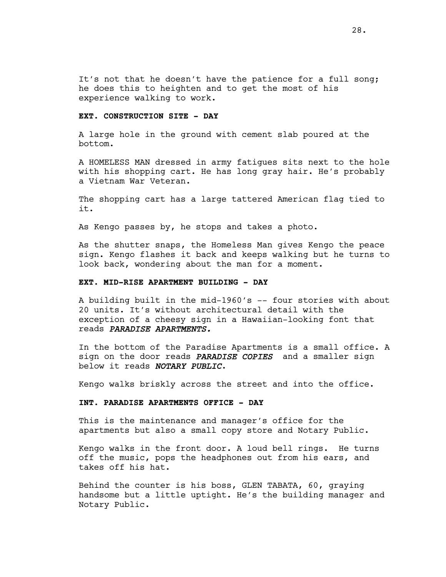It's not that he doesn't have the patience for a full song; he does this to heighten and to get the most of his experience walking to work.

# **EXT. CONSTRUCTION SITE - DAY**

A large hole in the ground with cement slab poured at the bottom.

A HOMELESS MAN dressed in army fatigues sits next to the hole with his shopping cart. He has long gray hair. He's probably a Vietnam War Veteran.

The shopping cart has a large tattered American flag tied to it.

As Kengo passes by, he stops and takes a photo.

As the shutter snaps, the Homeless Man gives Kengo the peace sign. Kengo flashes it back and keeps walking but he turns to look back, wondering about the man for a moment.

# **EXT. MID-RISE APARTMENT BUILDING - DAY**

A building built in the mid-1960's -- four stories with about 20 units. It's without architectural detail with the exception of a cheesy sign in a Hawaiian-looking font that reads *PARADISE APARTMENTS.*

In the bottom of the Paradise Apartments is a small office. A sign on the door reads *PARADISE COPIES* and a smaller sign below it reads *NOTARY PUBLIC*.

Kengo walks briskly across the street and into the office.

### **INT. PARADISE APARTMENTS OFFICE - DAY**

This is the maintenance and manager's office for the apartments but also a small copy store and Notary Public.

Kengo walks in the front door. A loud bell rings. He turns off the music, pops the headphones out from his ears, and takes off his hat.

Behind the counter is his boss, GLEN TABATA, 60, graying handsome but a little uptight. He's the building manager and Notary Public.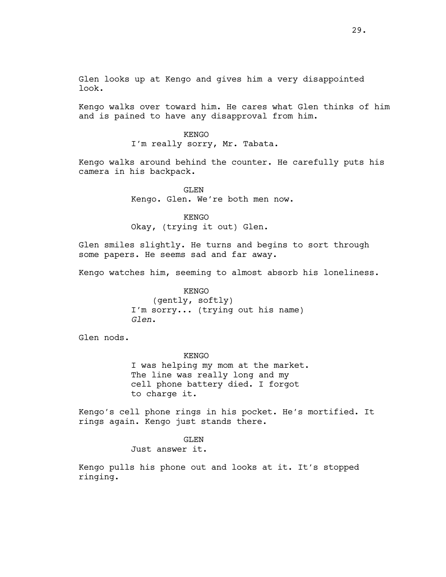Glen looks up at Kengo and gives him a very disappointed look.

Kengo walks over toward him. He cares what Glen thinks of him and is pained to have any disapproval from him.

> KENGO I'm really sorry, Mr. Tabata.

Kengo walks around behind the counter. He carefully puts his camera in his backpack.

> GLEN Kengo. Glen. We're both men now.

KENGO Okay, (trying it out) Glen.

Glen smiles slightly. He turns and begins to sort through some papers. He seems sad and far away.

Kengo watches him, seeming to almost absorb his loneliness.

KENGO (gently, softly) I'm sorry... (trying out his name) *Glen*.

Glen nods.

KENGO I was helping my mom at the market. The line was really long and my cell phone battery died. I forgot to charge it.

Kengo's cell phone rings in his pocket. He's mortified. It rings again. Kengo just stands there.

GLEN

Just answer it.

Kengo pulls his phone out and looks at it. It's stopped ringing.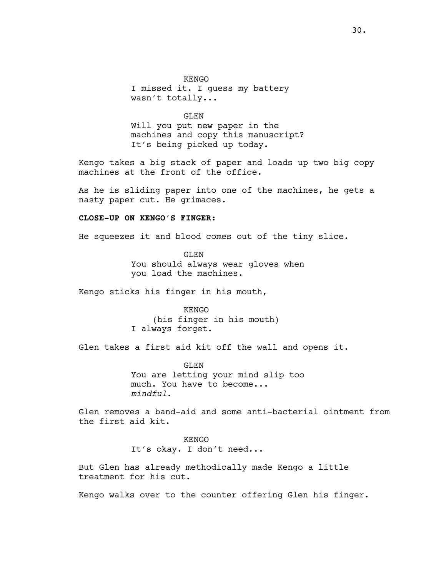KENGO I missed it. I guess my battery wasn't totally...

GLEN Will you put new paper in the machines and copy this manuscript? It's being picked up today.

Kengo takes a big stack of paper and loads up two big copy machines at the front of the office.

As he is sliding paper into one of the machines, he gets a nasty paper cut. He grimaces.

# **CLOSE-UP ON KENGO'S FINGER:**

He squeezes it and blood comes out of the tiny slice.

GLEN You should always wear gloves when you load the machines.

Kengo sticks his finger in his mouth,

KENGO (his finger in his mouth) I always forget.

Glen takes a first aid kit off the wall and opens it.

GLEN You are letting your mind slip too much. You have to become... *mindful*.

Glen removes a band-aid and some anti-bacterial ointment from the first aid kit.

> **KENGO** It's okay. I don't need...

But Glen has already methodically made Kengo a little treatment for his cut.

Kengo walks over to the counter offering Glen his finger.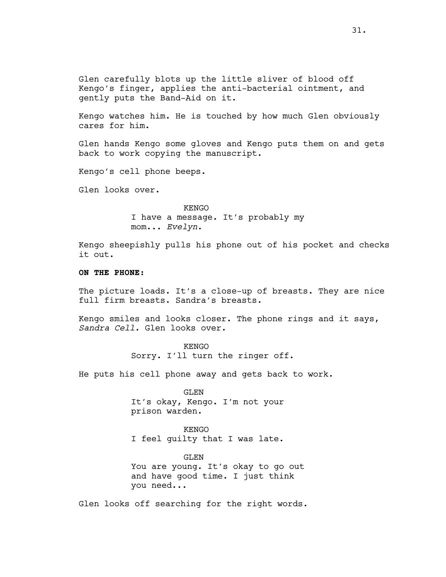Glen carefully blots up the little sliver of blood off Kengo's finger, applies the anti-bacterial ointment, and gently puts the Band-Aid on it.

Kengo watches him. He is touched by how much Glen obviously cares for him.

Glen hands Kengo some gloves and Kengo puts them on and gets back to work copying the manuscript.

Kengo's cell phone beeps.

Glen looks over.

KENGO I have a message. It's probably my mom... *Evelyn*.

Kengo sheepishly pulls his phone out of his pocket and checks it out.

# **ON THE PHONE:**

The picture loads. It's a close-up of breasts. They are nice full firm breasts. Sandra's breasts.

Kengo smiles and looks closer. The phone rings and it says, *Sandra Cell.* Glen looks over.

#### KENGO

Sorry. I'll turn the ringer off.

He puts his cell phone away and gets back to work.

GLEN It's okay, Kengo. I'm not your prison warden.

KENGO I feel guilty that I was late.

# GLEN You are young. It's okay to go out and have good time. I just think

you need...

Glen looks off searching for the right words.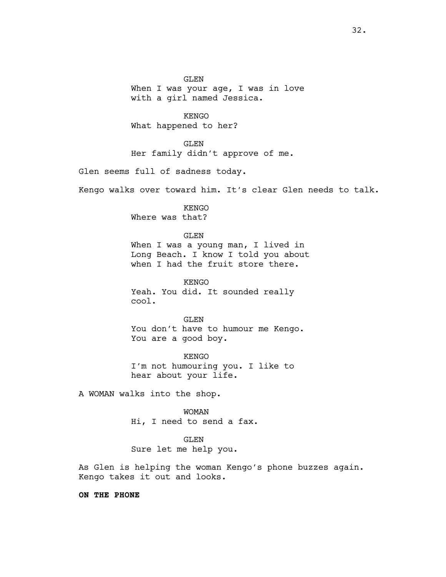GLEN When I was your age, I was in love with a girl named Jessica.

KENGO What happened to her?

GLEN Her family didn't approve of me.

Glen seems full of sadness today.

Kengo walks over toward him. It's clear Glen needs to talk.

KENGO Where was that?

GLEN

When I was a young man, I lived in Long Beach. I know I told you about when I had the fruit store there.

KENGO Yeah. You did. It sounded really cool.

GLEN You don't have to humour me Kengo. You are a good boy.

KENGO I'm not humouring you. I like to hear about your life.

A WOMAN walks into the shop.

WOMAN Hi, I need to send a fax.

GLEN

Sure let me help you.

As Glen is helping the woman Kengo's phone buzzes again. Kengo takes it out and looks.

**ON THE PHONE**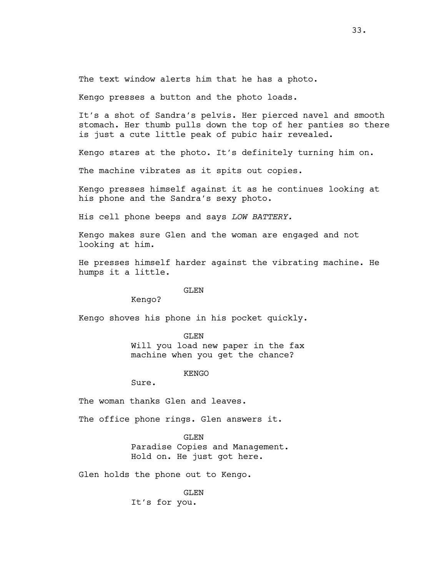The text window alerts him that he has a photo.

Kengo presses a button and the photo loads.

It's a shot of Sandra's pelvis. Her pierced navel and smooth stomach. Her thumb pulls down the top of her panties so there is just a cute little peak of pubic hair revealed.

Kengo stares at the photo. It's definitely turning him on.

The machine vibrates as it spits out copies.

Kengo presses himself against it as he continues looking at his phone and the Sandra's sexy photo.

His cell phone beeps and says *LOW BATTERY.*

Kengo makes sure Glen and the woman are engaged and not looking at him.

He presses himself harder against the vibrating machine. He humps it a little.

GLEN

Kengo?

Kengo shoves his phone in his pocket quickly.

#### GLEN

Will you load new paper in the fax machine when you get the chance?

KENGO

Sure.

The woman thanks Glen and leaves.

The office phone rings. Glen answers it.

GLEN Paradise Copies and Management. Hold on. He just got here.

Glen holds the phone out to Kengo.

GLEN It's for you.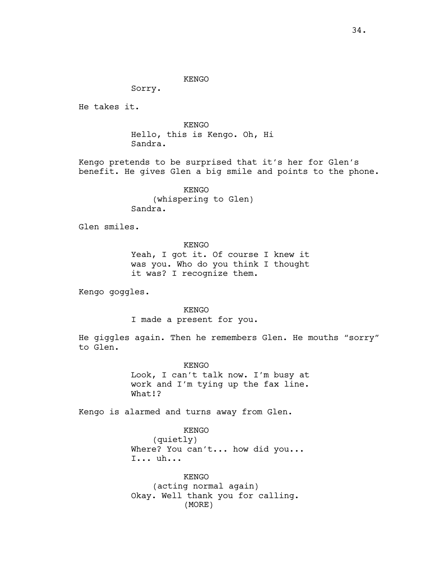Sorry.

He takes it.

KENGO Hello, this is Kengo. Oh, Hi Sandra.

Kengo pretends to be surprised that it's her for Glen's benefit. He gives Glen a big smile and points to the phone.

> KENGO (whispering to Glen) Sandra.

Glen smiles.

KENGO Yeah, I got it. Of course I knew it was you. Who do you think I thought it was? I recognize them.

Kengo goggles.

KENGO I made a present for you.

He giggles again. Then he remembers Glen. He mouths "sorry" to Glen.

> KENGO Look, I can't talk now. I'm busy at work and I'm tying up the fax line. What!?

Kengo is alarmed and turns away from Glen.

KENGO

(quietly) Where? You can't... how did you... I... uh...

KENGO (acting normal again) Okay. Well thank you for calling. (MORE)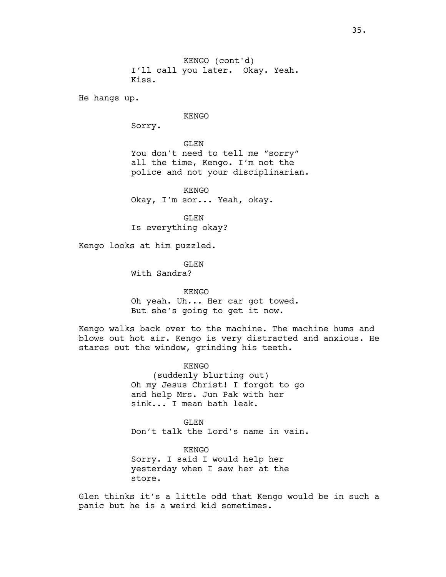I'll call you later. Okay. Yeah. Kiss. KENGO (cont'd)

He hangs up.

# KENGO

Sorry.

GLEN You don't need to tell me "sorry" all the time, Kengo. I'm not the police and not your disciplinarian.

KENGO Okay, I'm sor... Yeah, okay.

GLEN Is everything okay?

Kengo looks at him puzzled.

GLEN With Sandra?

KENGO Oh yeah. Uh... Her car got towed. But she's going to get it now.

Kengo walks back over to the machine. The machine hums and blows out hot air. Kengo is very distracted and anxious. He stares out the window, grinding his teeth.

> KENGO (suddenly blurting out) Oh my Jesus Christ! I forgot to go and help Mrs. Jun Pak with her sink... I mean bath leak.

GLEN Don't talk the Lord's name in vain.

KENGO Sorry. I said I would help her yesterday when I saw her at the store.

Glen thinks it's a little odd that Kengo would be in such a panic but he is a weird kid sometimes.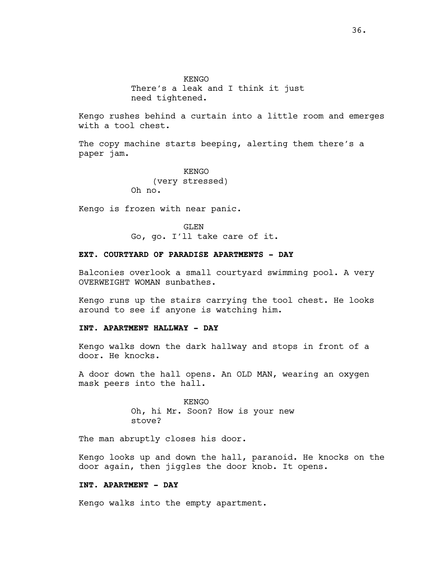**KENGO** There's a leak and I think it just need tightened.

Kengo rushes behind a curtain into a little room and emerges with a tool chest.

The copy machine starts beeping, alerting them there's a paper jam.

> KENGO (very stressed) Oh no.

Kengo is frozen with near panic.

GLEN Go, go. I'll take care of it.

# **EXT. COURTYARD OF PARADISE APARTMENTS - DAY**

Balconies overlook a small courtyard swimming pool. A very OVERWEIGHT WOMAN sunbathes.

Kengo runs up the stairs carrying the tool chest. He looks around to see if anyone is watching him.

#### **INT. APARTMENT HALLWAY - DAY**

Kengo walks down the dark hallway and stops in front of a door. He knocks.

A door down the hall opens. An OLD MAN, wearing an oxygen mask peers into the hall.

> KENGO Oh, hi Mr. Soon? How is your new stove?

The man abruptly closes his door.

Kengo looks up and down the hall, paranoid. He knocks on the door again, then jiggles the door knob. It opens.

# **INT. APARTMENT - DAY**

Kengo walks into the empty apartment.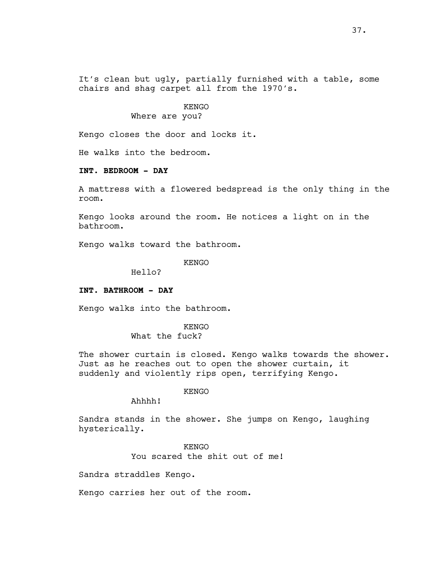It's clean but ugly, partially furnished with a table, some chairs and shag carpet all from the 1970's.

# KENGO Where are you?

Kengo closes the door and locks it.

He walks into the bedroom.

# **INT. BEDROOM - DAY**

A mattress with a flowered bedspread is the only thing in the room.

Kengo looks around the room. He notices a light on in the bathroom.

Kengo walks toward the bathroom.

KENGO

Hello?

#### **INT. BATHROOM - DAY**

Kengo walks into the bathroom.

KENGO What the fuck?

The shower curtain is closed. Kengo walks towards the shower. Just as he reaches out to open the shower curtain, it suddenly and violently rips open, terrifying Kengo.

#### KENGO

Ahhhh!

Sandra stands in the shower. She jumps on Kengo, laughing hysterically.

> KENGO You scared the shit out of me!

Sandra straddles Kengo.

Kengo carries her out of the room.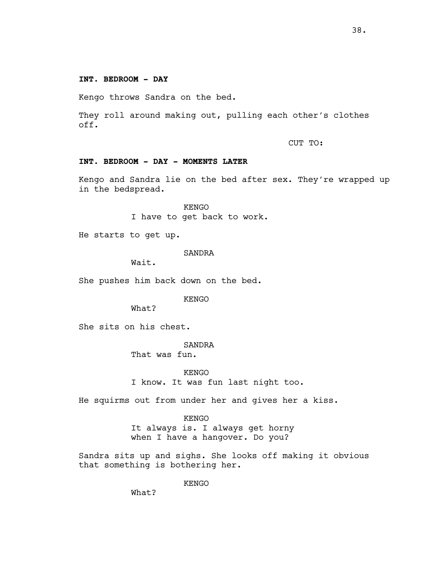Kengo throws Sandra on the bed.

They roll around making out, pulling each other's clothes off.

CUT TO:

# **INT. BEDROOM - DAY - MOMENTS LATER**

Kengo and Sandra lie on the bed after sex. They're wrapped up in the bedspread.

> KENGO I have to get back to work.

He starts to get up.

SANDRA

Wait.

She pushes him back down on the bed.

KENGO

What?

She sits on his chest.

SANDRA

That was fun.

KENGO I know. It was fun last night too.

He squirms out from under her and gives her a kiss.

KENGO

It always is. I always get horny when I have a hangover. Do you?

Sandra sits up and sighs. She looks off making it obvious that something is bothering her.

KENGO

What?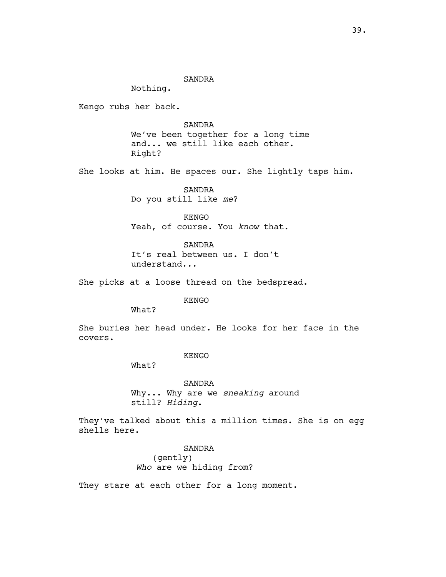#### SANDRA

Nothing.

Kengo rubs her back.

SANDRA We've been together for a long time and... we still like each other. Right?

She looks at him. He spaces our. She lightly taps him.

SANDRA Do you still like *me*?

KENGO Yeah, of course. You *know* that.

SANDRA It's real between us. I don't understand...

She picks at a loose thread on the bedspread.

KENGO

What?

She buries her head under. He looks for her face in the covers.

#### KENGO

What?

SANDRA Why... Why are we *sneaking* around still? *Hiding*.

They've talked about this a million times. She is on egg shells here.

> SANDRA (gently)  *Who* are we hiding from?

They stare at each other for a long moment.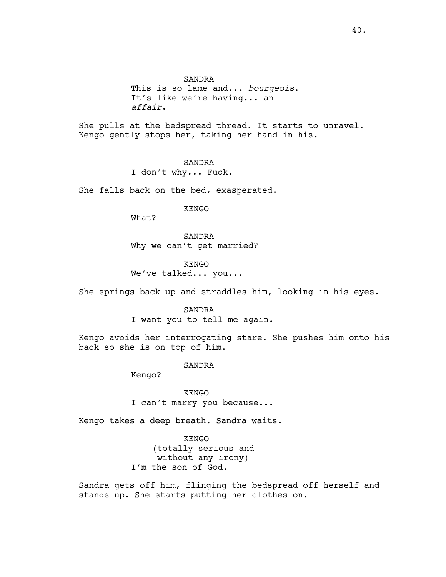SANDRA This is so lame and... *bourgeois*. It's like we're having... an *affair*.

She pulls at the bedspread thread. It starts to unravel. Kengo gently stops her, taking her hand in his.

> SANDRA I don't why... Fuck.

She falls back on the bed, exasperated.

KENGO

What?

SANDRA Why we can't get married?

KENGO We've talked... you...

She springs back up and straddles him, looking in his eyes.

SANDRA I want you to tell me again.

Kengo avoids her interrogating stare. She pushes him onto his back so she is on top of him.

SANDRA

Kengo?

KENGO I can't marry you because...

Kengo takes a deep breath. Sandra waits.

KENGO (totally serious and without any irony) I'm the son of God.

Sandra gets off him, flinging the bedspread off herself and stands up. She starts putting her clothes on.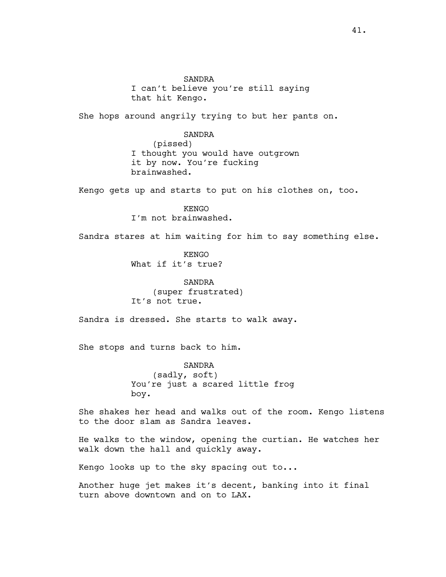SANDRA I can't believe you're still saying that hit Kengo.

She hops around angrily trying to but her pants on.

## SANDRA

(pissed) I thought you would have outgrown it by now. You're fucking brainwashed.

Kengo gets up and starts to put on his clothes on, too.

KENGO I'm not brainwashed.

Sandra stares at him waiting for him to say something else.

KENGO What if it's true?

SANDRA (super frustrated) It's not true.

Sandra is dressed. She starts to walk away.

She stops and turns back to him.

SANDRA (sadly, soft) You're just a scared little frog boy.

She shakes her head and walks out of the room. Kengo listens to the door slam as Sandra leaves.

He walks to the window, opening the curtian. He watches her walk down the hall and quickly away.

Kengo looks up to the sky spacing out to...

Another huge jet makes it's decent, banking into it final turn above downtown and on to LAX.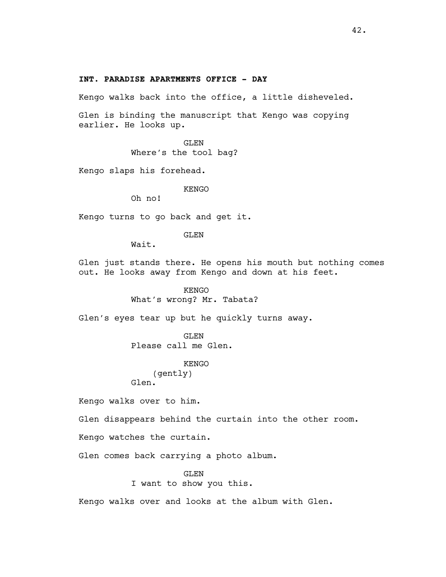# **INT. PARADISE APARTMENTS OFFICE - DAY**

Kengo walks back into the office, a little disheveled.

Glen is binding the manuscript that Kengo was copying earlier. He looks up.

> GLEN Where's the tool bag?

Kengo slaps his forehead.

KENGO

Oh no!

Kengo turns to go back and get it.

GLEN

Wait.

Glen just stands there. He opens his mouth but nothing comes out. He looks away from Kengo and down at his feet.

> KENGO What's wrong? Mr. Tabata?

Glen's eyes tear up but he quickly turns away.

GLEN Please call me Glen.

KENGO

(gently) Glen.

Kengo walks over to him.

Glen disappears behind the curtain into the other room.

Kengo watches the curtain.

Glen comes back carrying a photo album.

GLEN I want to show you this.

Kengo walks over and looks at the album with Glen.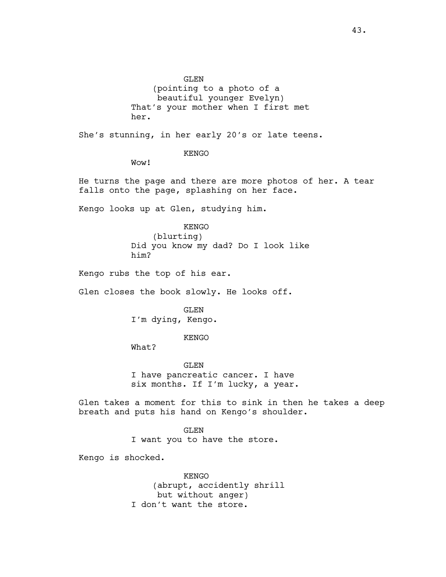GLEN (pointing to a photo of a beautiful younger Evelyn) That's your mother when I first met her.

She's stunning, in her early 20's or late teens.

KENGO

Wow!

He turns the page and there are more photos of her. A tear falls onto the page, splashing on her face.

Kengo looks up at Glen, studying him.

KENGO (blurting) Did you know my dad? Do I look like him?

Kengo rubs the top of his ear.

Glen closes the book slowly. He looks off.

GLEN I'm dying, Kengo.

KENGO

What?

GLEN I have pancreatic cancer. I have six months. If I'm lucky, a year.

Glen takes a moment for this to sink in then he takes a deep breath and puts his hand on Kengo's shoulder.

> GLEN I want you to have the store.

Kengo is shocked.

KENGO (abrupt, accidently shrill but without anger) I don't want the store.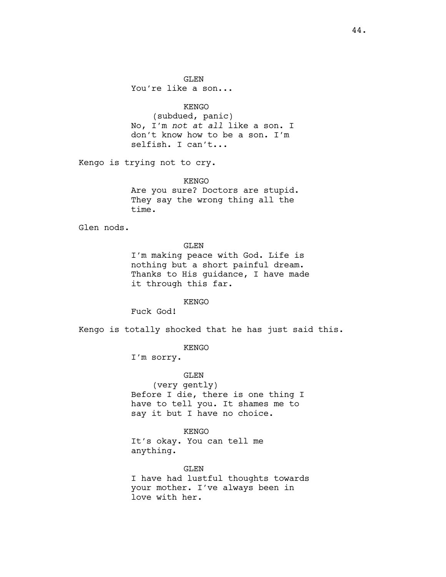KENGO (subdued, panic) No, I'm *not at all* like a son. I don't know how to be a son. I'm selfish. I can't...

Kengo is trying not to cry.

KENGO Are you sure? Doctors are stupid. They say the wrong thing all the time.

Glen nods.

GLEN

I'm making peace with God. Life is nothing but a short painful dream. Thanks to His guidance, I have made it through this far.

KENGO

Fuck God!

Kengo is totally shocked that he has just said this.

KENGO

I'm sorry.

GLEN (very gently) Before I die, there is one thing I have to tell you. It shames me to say it but I have no choice.

KENGO It's okay. You can tell me anything.

GLEN I have had lustful thoughts towards your mother. I've always been in love with her.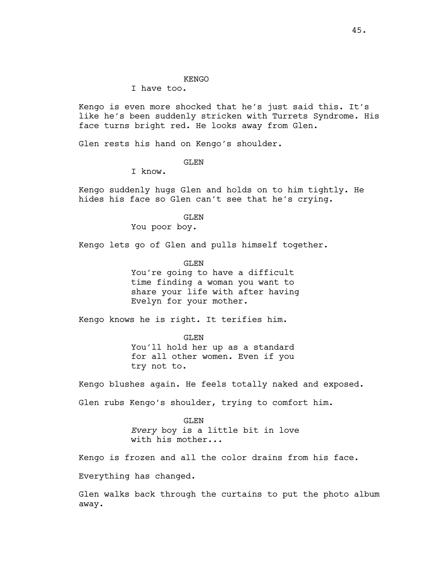#### KENGO

# I have too.

Kengo is even more shocked that he's just said this. It's like he's been suddenly stricken with Turrets Syndrome. His face turns bright red. He looks away from Glen.

Glen rests his hand on Kengo's shoulder.

# GLEN

I know.

Kengo suddenly hugs Glen and holds on to him tightly. He hides his face so Glen can't see that he's crying.

> GLEN You poor boy.

Kengo lets go of Glen and pulls himself together.

GLEN

You're going to have a difficult time finding a woman you want to share your life with after having Evelyn for your mother.

Kengo knows he is right. It terifies him.

GLEN You'll hold her up as a standard for all other women. Even if you try not to.

Kengo blushes again. He feels totally naked and exposed.

Glen rubs Kengo's shoulder, trying to comfort him.

GLEN *Every* boy is a little bit in love with his mother...

Kengo is frozen and all the color drains from his face.

Everything has changed.

Glen walks back through the curtains to put the photo album away.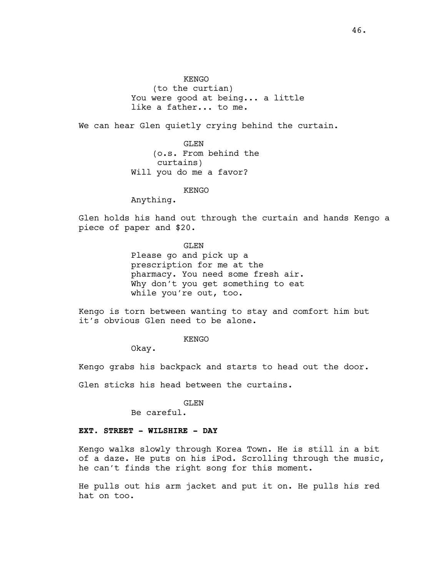KENGO (to the curtian) You were good at being... a little like a father... to me.

We can hear Glen quietly crying behind the curtain.

GLEN (o.s. From behind the curtains) Will you do me a favor?

#### **KENGO**

Anything.

Glen holds his hand out through the curtain and hands Kengo a piece of paper and \$20.

> GLEN Please go and pick up a prescription for me at the pharmacy. You need some fresh air. Why don't you get something to eat while you're out, too.

Kengo is torn between wanting to stay and comfort him but it's obvious Glen need to be alone.

KENGO

Okay.

Kengo grabs his backpack and starts to head out the door.

Glen sticks his head between the curtains.

#### GLEN

Be careful.

## **EXT. STREET - WILSHIRE - DAY**

Kengo walks slowly through Korea Town. He is still in a bit of a daze. He puts on his iPod. Scrolling through the music, he can't finds the right song for this moment.

He pulls out his arm jacket and put it on. He pulls his red hat on too.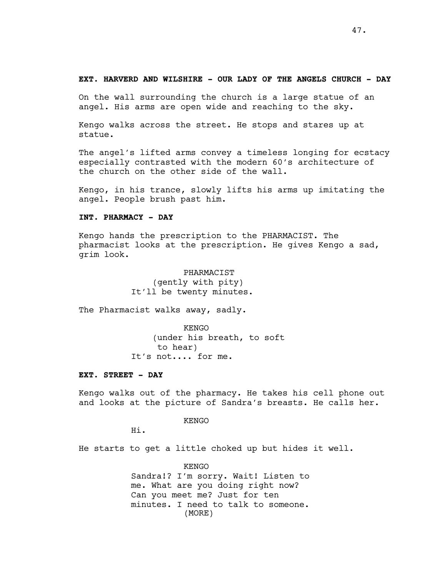### **EXT. HARVERD AND WILSHIRE - OUR LADY OF THE ANGELS CHURCH - DAY**

On the wall surrounding the church is a large statue of an angel. His arms are open wide and reaching to the sky.

Kengo walks across the street. He stops and stares up at statue.

The angel's lifted arms convey a timeless longing for ecstacy especially contrasted with the modern 60's architecture of the church on the other side of the wall.

Kengo, in his trance, slowly lifts his arms up imitating the angel. People brush past him.

## **INT. PHARMACY - DAY**

Kengo hands the prescription to the PHARMACIST. The pharmacist looks at the prescription. He gives Kengo a sad, grim look.

> PHARMACIST (gently with pity) It'll be twenty minutes.

The Pharmacist walks away, sadly.

KENGO (under his breath, to soft to hear) It's not.... for me.

#### **EXT. STREET - DAY**

Kengo walks out of the pharmacy. He takes his cell phone out and looks at the picture of Sandra's breasts. He calls her.

KENGO

Hi.

He starts to get a little choked up but hides it well.

KENGO Sandra!? I'm sorry. Wait! Listen to me. What are you doing right now? Can you meet me? Just for ten minutes. I need to talk to someone. (MORE)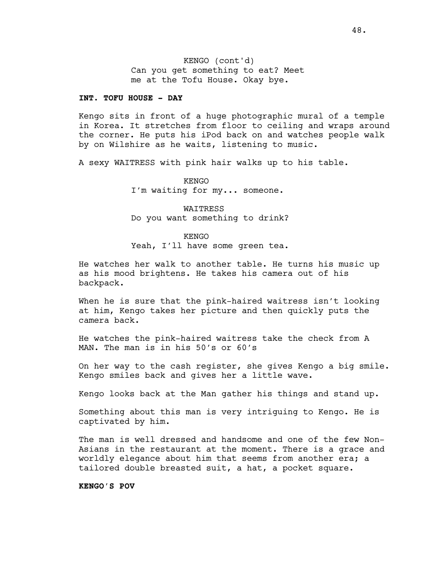Can you get something to eat? Meet me at the Tofu House. Okay bye. KENGO (cont'd)

## **INT. TOFU HOUSE - DAY**

Kengo sits in front of a huge photographic mural of a temple in Korea. It stretches from floor to ceiling and wraps around the corner. He puts his iPod back on and watches people walk by on Wilshire as he waits, listening to music.

A sexy WAITRESS with pink hair walks up to his table.

KENGO I'm waiting for my... someone.

WAITRESS Do you want something to drink?

#### KENGO

Yeah, I'll have some green tea.

He watches her walk to another table. He turns his music up as his mood brightens. He takes his camera out of his backpack.

When he is sure that the pink-haired waitress isn't looking at him, Kengo takes her picture and then quickly puts the camera back.

He watches the pink-haired waitress take the check from A MAN. The man is in his 50's or 60's

On her way to the cash register, she gives Kengo a big smile. Kengo smiles back and gives her a little wave.

Kengo looks back at the Man gather his things and stand up.

Something about this man is very intriguing to Kengo. He is captivated by him.

The man is well dressed and handsome and one of the few Non-Asians in the restaurant at the moment. There is a grace and worldly elegance about him that seems from another era; a tailored double breasted suit, a hat, a pocket square.

**KENGO'S POV**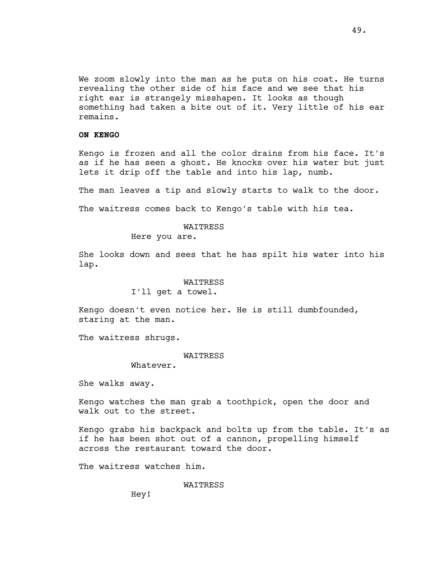We zoom slowly into the man as he puts on his coat. He turns revealing the other side of his face and we see that his right ear is strangely misshapen. It looks as though something had taken a bite out of it. Very little of his ear remains.

### **ON KENGO**

Kengo is frozen and all the color drains from his face. It's as if he has seen a ghost. He knocks over his water but just lets it drip off the table and into his lap, numb.

The man leaves a tip and slowly starts to walk to the door.

The waitress comes back to Kengo's table with his tea.

#### WAITRESS

Here you are.

She looks down and sees that he has spilt his water into his lap.

#### WAITRESS

I'll get a towel.

Kengo doesn't even notice her. He is still dumbfounded, staring at the man.

The waitress shrugs.

#### WAITRESS

Whatever.

She walks away.

Kengo watches the man grab a toothpick, open the door and walk out to the street.

Kengo grabs his backpack and bolts up from the table. It's as if he has been shot out of a cannon, propelling himself across the restaurant toward the door.

The waitress watches him.

WAITRESS

Hey!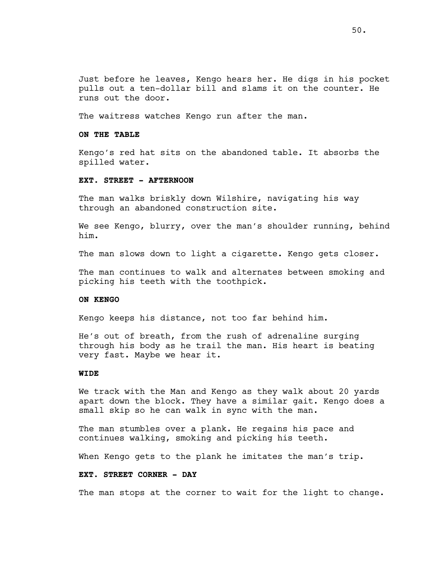Just before he leaves, Kengo hears her. He digs in his pocket pulls out a ten-dollar bill and slams it on the counter. He runs out the door.

The waitress watches Kengo run after the man.

#### **ON THE TABLE**

Kengo's red hat sits on the abandoned table. It absorbs the spilled water.

# **EXT. STREET - AFTERNOON**

The man walks briskly down Wilshire, navigating his way through an abandoned construction site.

We see Kengo, blurry, over the man's shoulder running, behind him.

The man slows down to light a cigarette. Kengo gets closer.

The man continues to walk and alternates between smoking and picking his teeth with the toothpick.

# **ON KENGO**

Kengo keeps his distance, not too far behind him.

He's out of breath, from the rush of adrenaline surging through his body as he trail the man. His heart is beating very fast. Maybe we hear it.

## **WIDE**

We track with the Man and Kengo as they walk about 20 yards apart down the block. They have a similar gait. Kengo does a small skip so he can walk in sync with the man.

The man stumbles over a plank. He regains his pace and continues walking, smoking and picking his teeth.

When Kengo gets to the plank he imitates the man's trip.

# **EXT. STREET CORNER - DAY**

The man stops at the corner to wait for the light to change.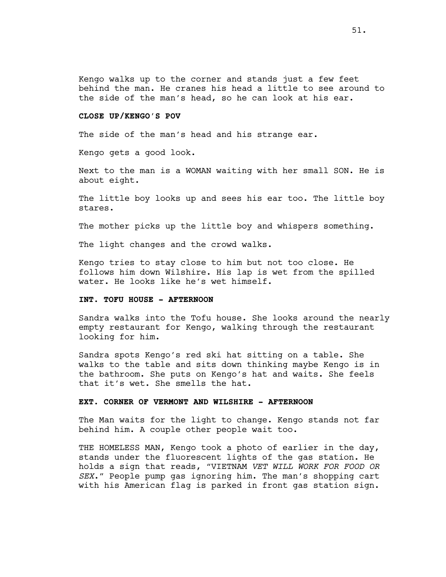Kengo walks up to the corner and stands just a few feet behind the man. He cranes his head a little to see around to the side of the man's head, so he can look at his ear.

# **CLOSE UP/KENGO'S POV**

The side of the man's head and his strange ear.

Kengo gets a good look.

Next to the man is a WOMAN waiting with her small SON. He is about eight.

The little boy looks up and sees his ear too. The little boy stares.

The mother picks up the little boy and whispers something.

The light changes and the crowd walks.

Kengo tries to stay close to him but not too close. He follows him down Wilshire. His lap is wet from the spilled water. He looks like he's wet himself.

# **INT. TOFU HOUSE - AFTERNOON**

Sandra walks into the Tofu house. She looks around the nearly empty restaurant for Kengo, walking through the restaurant looking for him.

Sandra spots Kengo's red ski hat sitting on a table. She walks to the table and sits down thinking maybe Kengo is in the bathroom. She puts on Kengo's hat and waits. She feels that it's wet. She smells the hat.

#### **EXT. CORNER OF VERMONT AND WILSHIRE - AFTERNOON**

The Man waits for the light to change. Kengo stands not far behind him. A couple other people wait too.

THE HOMELESS MAN, Kengo took a photo of earlier in the day, stands under the fluorescent lights of the gas station. He holds a sign that reads, "VIETNAM *VET WILL WORK FOR FOOD OR SEX*." People pump gas ignoring him. The man's shopping cart with his American flag is parked in front gas station sign.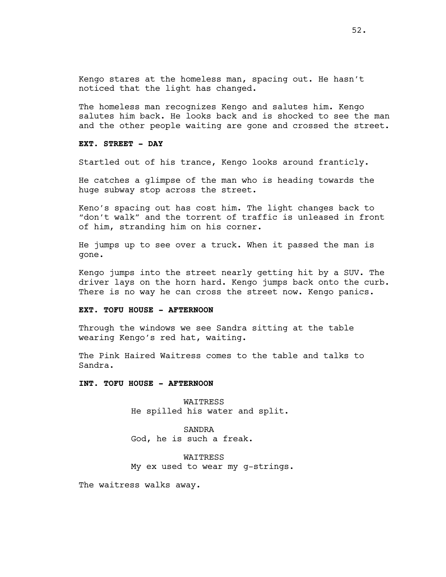Kengo stares at the homeless man, spacing out. He hasn't noticed that the light has changed.

The homeless man recognizes Kengo and salutes him. Kengo salutes him back. He looks back and is shocked to see the man and the other people waiting are gone and crossed the street.

# **EXT. STREET - DAY**

Startled out of his trance, Kengo looks around franticly.

He catches a glimpse of the man who is heading towards the huge subway stop across the street.

Keno's spacing out has cost him. The light changes back to "don't walk" and the torrent of traffic is unleased in front of him, stranding him on his corner.

He jumps up to see over a truck. When it passed the man is gone.

Kengo jumps into the street nearly getting hit by a SUV. The driver lays on the horn hard. Kengo jumps back onto the curb. There is no way he can cross the street now. Kengo panics.

#### **EXT. TOFU HOUSE - AFTERNOON**

Through the windows we see Sandra sitting at the table wearing Kengo's red hat, waiting.

The Pink Haired Waitress comes to the table and talks to Sandra.

#### **INT. TOFU HOUSE - AFTERNOON**

WAITRESS He spilled his water and split.

SANDRA God, he is such a freak.

WAITRESS My ex used to wear my g-strings.

The waitress walks away.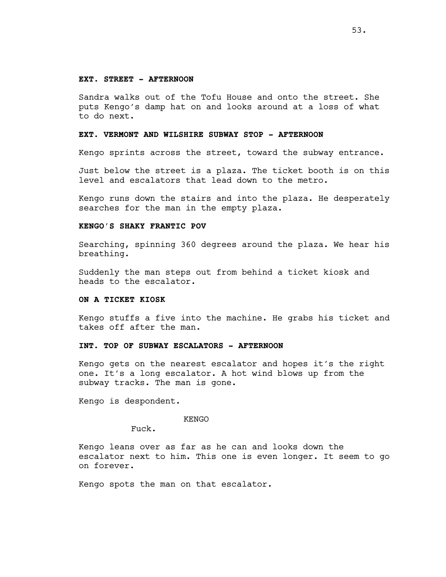#### **EXT. STREET - AFTERNOON**

Sandra walks out of the Tofu House and onto the street. She puts Kengo's damp hat on and looks around at a loss of what to do next.

## **EXT. VERMONT AND WILSHIRE SUBWAY STOP - AFTERNOON**

Kengo sprints across the street, toward the subway entrance.

Just below the street is a plaza. The ticket booth is on this level and escalators that lead down to the metro.

Kengo runs down the stairs and into the plaza. He desperately searches for the man in the empty plaza.

# **KENGO'S SHAKY FRANTIC POV**

Searching, spinning 360 degrees around the plaza. We hear his breathing.

Suddenly the man steps out from behind a ticket kiosk and heads to the escalator.

# **ON A TICKET KIOSK**

Kengo stuffs a five into the machine. He grabs his ticket and takes off after the man.

# **INT. TOP OF SUBWAY ESCALATORS - AFTERNOON**

Kengo gets on the nearest escalator and hopes it's the right one. It's a long escalator. A hot wind blows up from the subway tracks. The man is gone.

Kengo is despondent.

#### KENGO

Fuck.

Kengo leans over as far as he can and looks down the escalator next to him. This one is even longer. It seem to go on forever.

Kengo spots the man on that escalator.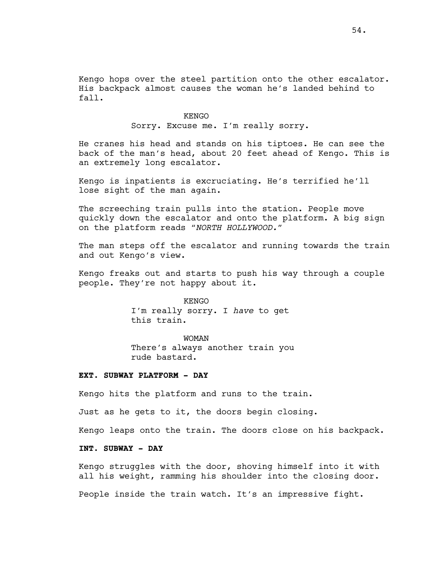Kengo hops over the steel partition onto the other escalator. His backpack almost causes the woman he's landed behind to fall.

> KENGO Sorry. Excuse me. I'm really sorry.

He cranes his head and stands on his tiptoes. He can see the back of the man's head, about 20 feet ahead of Kengo. This is an extremely long escalator.

Kengo is inpatients is excruciating. He's terrified he'll lose sight of the man again.

The screeching train pulls into the station. People move quickly down the escalator and onto the platform. A big sign on the platform reads "*NORTH HOLLYWOOD."* 

The man steps off the escalator and running towards the train and out Kengo's view.

Kengo freaks out and starts to push his way through a couple people. They're not happy about it.

> KENGO I'm really sorry. I *have* to get this train.

WOMAN There's always another train you rude bastard.

#### **EXT. SUBWAY PLATFORM - DAY**

Kengo hits the platform and runs to the train.

Just as he gets to it, the doors begin closing.

Kengo leaps onto the train. The doors close on his backpack.

## **INT. SUBWAY - DAY**

Kengo struggles with the door, shoving himself into it with all his weight, ramming his shoulder into the closing door.

People inside the train watch. It's an impressive fight.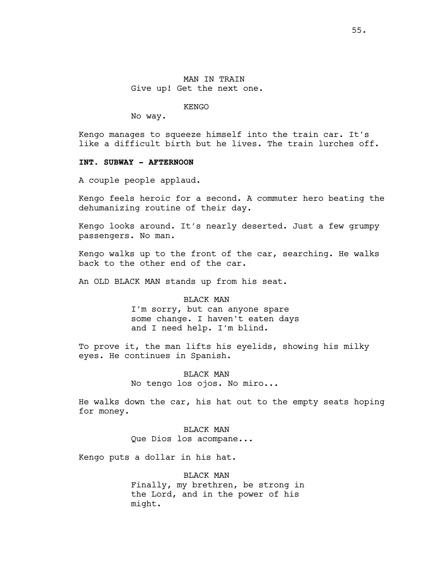KENGO

No way.

Kengo manages to squeeze himself into the train car. It's like a difficult birth but he lives. The train lurches off.

#### **INT. SUBWAY - AFTERNOON**

A couple people applaud.

Kengo feels heroic for a second. A commuter hero beating the dehumanizing routine of their day.

Kengo looks around. It's nearly deserted. Just a few grumpy passengers. No man.

Kengo walks up to the front of the car, searching. He walks back to the other end of the car.

An OLD BLACK MAN stands up from his seat.

#### BLACK MAN

I'm sorry, but can anyone spare some change. I haven't eaten days and I need help. I'm blind.

To prove it, the man lifts his eyelids, showing his milky eyes. He continues in Spanish.

# BLACK MAN No tengo los ojos. No miro...

He walks down the car, his hat out to the empty seats hoping for money.

> BLACK MAN Que Dios los acompane...

Kengo puts a dollar in his hat.

BLACK MAN Finally, my brethren, be strong in the Lord, and in the power of his might.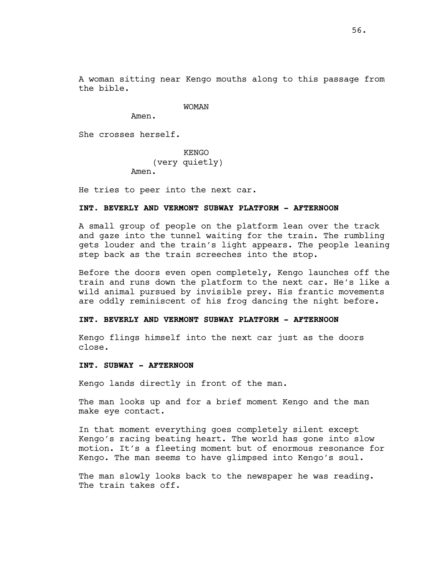A woman sitting near Kengo mouths along to this passage from the bible.

# WOMAN

Amen.

She crosses herself.

KENGO (very quietly) Amen.

He tries to peer into the next car.

### **INT. BEVERLY AND VERMONT SUBWAY PLATFORM - AFTERNOON**

A small group of people on the platform lean over the track and gaze into the tunnel waiting for the train. The rumbling gets louder and the train's light appears. The people leaning step back as the train screeches into the stop.

Before the doors even open completely, Kengo launches off the train and runs down the platform to the next car. He's like a wild animal pursued by invisible prey. His frantic movements are oddly reminiscent of his frog dancing the night before.

#### **INT. BEVERLY AND VERMONT SUBWAY PLATFORM - AFTERNOON**

Kengo flings himself into the next car just as the doors close.

# **INT. SUBWAY - AFTERNOON**

Kengo lands directly in front of the man.

The man looks up and for a brief moment Kengo and the man make eye contact.

In that moment everything goes completely silent except Kengo's racing beating heart. The world has gone into slow motion. It's a fleeting moment but of enormous resonance for Kengo. The man seems to have glimpsed into Kengo's soul.

The man slowly looks back to the newspaper he was reading. The train takes off.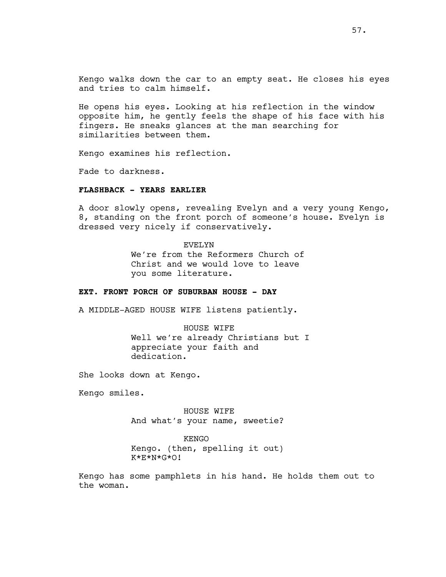Kengo walks down the car to an empty seat. He closes his eyes and tries to calm himself.

He opens his eyes. Looking at his reflection in the window opposite him, he gently feels the shape of his face with his fingers. He sneaks glances at the man searching for similarities between them.

Kengo examines his reflection.

Fade to darkness.

# **FLASHBACK - YEARS EARLIER**

A door slowly opens, revealing Evelyn and a very young Kengo, 8, standing on the front porch of someone's house. Evelyn is dressed very nicely if conservatively.

EVELYN

We're from the Reformers Church of Christ and we would love to leave you some literature.

## **EXT. FRONT PORCH OF SUBURBAN HOUSE - DAY**

A MIDDLE-AGED HOUSE WIFE listens patiently.

HOUSE WIFE Well we're already Christians but I appreciate your faith and dedication.

She looks down at Kengo.

Kengo smiles.

HOUSE WIFE And what's your name, sweetie?

KENGO Kengo. (then, spelling it out) K\*E\*N\*G\*O!

Kengo has some pamphlets in his hand. He holds them out to the woman.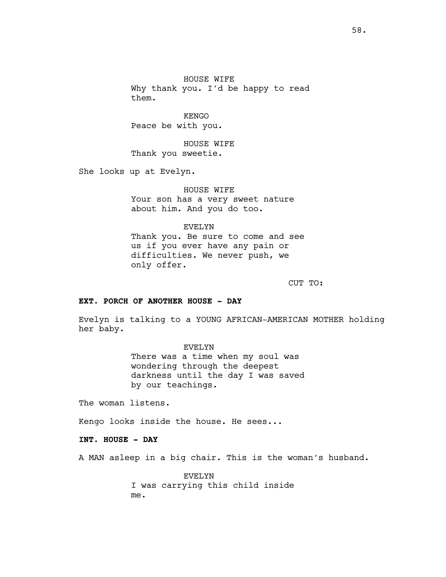HOUSE WIFE Why thank you. I'd be happy to read them.

KENGO Peace be with you.

HOUSE WIFE Thank you sweetie.

She looks up at Evelyn.

HOUSE WIFE Your son has a very sweet nature about him. And you do too.

EVELYN

Thank you. Be sure to come and see us if you ever have any pain or difficulties. We never push, we only offer.

CUT TO:

# **EXT. PORCH OF ANOTHER HOUSE - DAY**

Evelyn is talking to a YOUNG AFRICAN-AMERICAN MOTHER holding her baby.

EVELYN

There was a time when my soul was wondering through the deepest darkness until the day I was saved by our teachings.

The woman listens.

Kengo looks inside the house. He sees...

**INT. HOUSE - DAY**

A MAN asleep in a big chair. This is the woman's husband.

EVELYN I was carrying this child inside me.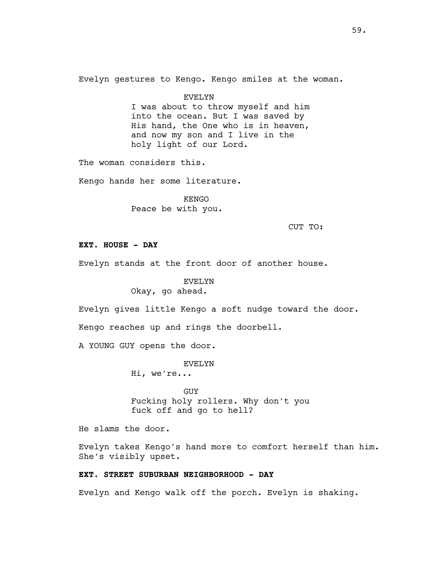Evelyn gestures to Kengo. Kengo smiles at the woman.

EVELYN I was about to throw myself and him into the ocean. But I was saved by His hand, the One who is in heaven, and now my son and I live in the holy light of our Lord.

The woman considers this.

Kengo hands her some literature.

KENGO Peace be with you.

CUT TO:

# **EXT. HOUSE - DAY**

Evelyn stands at the front door of another house.

# EVELYN Okay, go ahead.

Evelyn gives little Kengo a soft nudge toward the door.

Kengo reaches up and rings the doorbell.

A YOUNG GUY opens the door.

EVELYN

Hi, we're...

**GUY** Fucking holy rollers. Why don't you fuck off and go to hell?

He slams the door.

Evelyn takes Kengo's hand more to comfort herself than him. She's visibly upset.

# **EXT. STREET SUBURBAN NEIGHBORHOOD - DAY**

Evelyn and Kengo walk off the porch. Evelyn is shaking.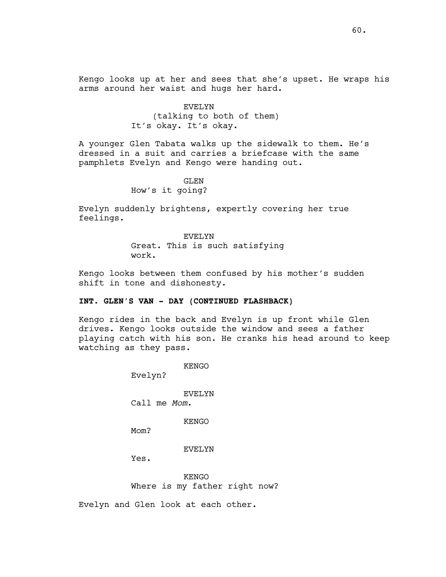Kengo looks up at her and sees that she's upset. He wraps his arms around her waist and hugs her hard.

> EVELYN (talking to both of them) It's okay. It's okay.

A younger Glen Tabata walks up the sidewalk to them. He's dressed in a suit and carries a briefcase with the same pamphlets Evelyn and Kengo were handing out.

> GLEN How's it going?

Evelyn suddenly brightens, expertly covering her true feelings.

#### EVELYN

Great. This is such satisfying work.

Kengo looks between them confused by his mother's sudden shift in tone and dishonesty.

# **INT. GLEN'S VAN - DAY (CONTINUED FLASHBACK)**

Kengo rides in the back and Evelyn is up front while Glen drives. Kengo looks outside the window and sees a father playing catch with his son. He cranks his head around to keep watching as they pass.

KENGO

Evelyn?

EVELYN

Call me *Mom*.

KENGO

M<sub>O</sub>m?

EVELYN

Yes.

KENGO Where is my father right now?

Evelyn and Glen look at each other.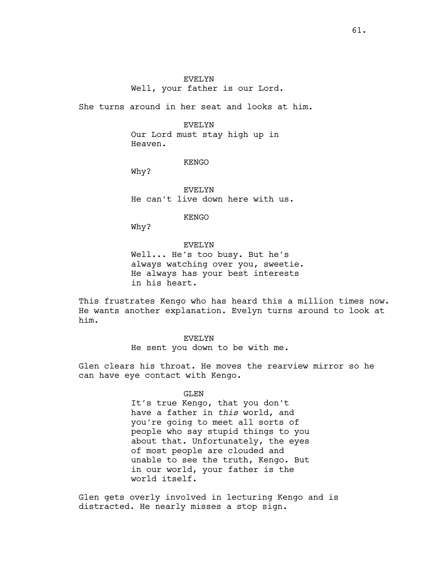# EVELYN Well, your father is our Lord.

She turns around in her seat and looks at him.

## EVELYN

Our Lord must stay high up in Heaven.

### KENGO

Why?

EVELYN He can't live down here with us.

KENGO

Why?

# EVELYN

Well... He's too busy. But he's always watching over you, sweetie. He always has your best interests in his heart.

This frustrates Kengo who has heard this a million times now. He wants another explanation. Evelyn turns around to look at him.

# EVELYN He sent you down to be with me.

Glen clears his throat. He moves the rearview mirror so he can have eye contact with Kengo.

# GLEN

It's true Kengo, that you don't have a father in *this* world, and you're going to meet all sorts of people who say stupid things to you about that. Unfortunately, the eyes of most people are clouded and unable to see the truth, Kengo. But in our world, your father is the world itself.

Glen gets overly involved in lecturing Kengo and is distracted. He nearly misses a stop sign.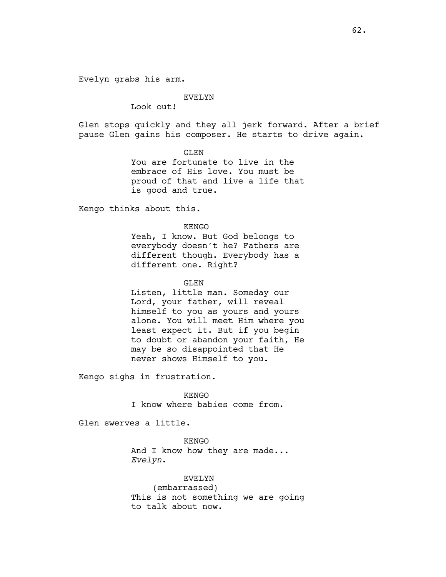Evelyn grabs his arm.

#### EVELYN

Look out!

Glen stops quickly and they all jerk forward. After a brief pause Glen gains his composer. He starts to drive again.

GLEN

You are fortunate to live in the embrace of His love. You must be proud of that and live a life that is good and true.

Kengo thinks about this.

KENGO

Yeah, I know. But God belongs to everybody doesn't he? Fathers are different though. Everybody has a different one. Right?

GLEN

Listen, little man. Someday our Lord, your father, will reveal himself to you as yours and yours alone. You will meet Him where you least expect it. But if you begin to doubt or abandon your faith, He may be so disappointed that He never shows Himself to you.

Kengo sighs in frustration.

KENGO I know where babies come from.

Glen swerves a little.

KENGO And I know how they are made... *Evelyn*.

EVELYN (embarrassed) This is not something we are going to talk about now.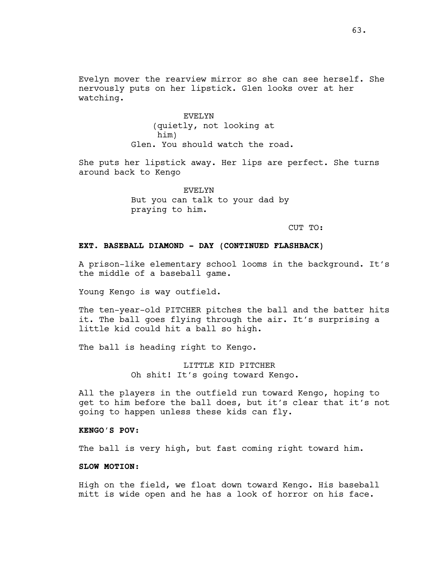Evelyn mover the rearview mirror so she can see herself. She nervously puts on her lipstick. Glen looks over at her watching.

> EVELYN (quietly, not looking at him) Glen. You should watch the road.

She puts her lipstick away. Her lips are perfect. She turns around back to Kengo

> EVELYN But you can talk to your dad by praying to him.

> > CUT TO:

# **EXT. BASEBALL DIAMOND - DAY (CONTINUED FLASHBACK)**

A prison-like elementary school looms in the background. It's the middle of a baseball game.

Young Kengo is way outfield.

The ten-year-old PITCHER pitches the ball and the batter hits it. The ball goes flying through the air. It's surprising a little kid could hit a ball so high.

The ball is heading right to Kengo.

LITTLE KID PITCHER Oh shit! It's going toward Kengo.

All the players in the outfield run toward Kengo, hoping to get to him before the ball does, but it's clear that it's not going to happen unless these kids can fly.

# **KENGO'S POV:**

The ball is very high, but fast coming right toward him.

# **SLOW MOTION:**

High on the field, we float down toward Kengo. His baseball mitt is wide open and he has a look of horror on his face.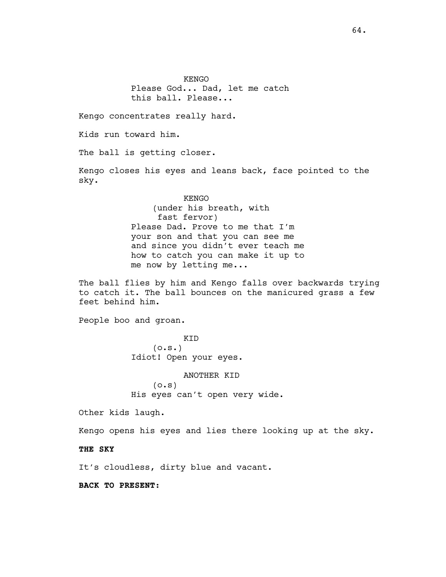KENGO Please God... Dad, let me catch this ball. Please...

Kengo concentrates really hard.

Kids run toward him.

The ball is getting closer.

Kengo closes his eyes and leans back, face pointed to the sky.

# KENGO (under his breath, with fast fervor) Please Dad. Prove to me that I'm your son and that you can see me and since you didn't ever teach me how to catch you can make it up to me now by letting me...

The ball flies by him and Kengo falls over backwards trying to catch it. The ball bounces on the manicured grass a few feet behind him.

People boo and groan.

KID  $(0.5.)$ Idiot! Open your eyes.

ANOTHER KID  $(0.5)$ His eyes can't open very wide.

Other kids laugh.

Kengo opens his eyes and lies there looking up at the sky.

**THE SKY**

It's cloudless, dirty blue and vacant.

**BACK TO PRESENT:**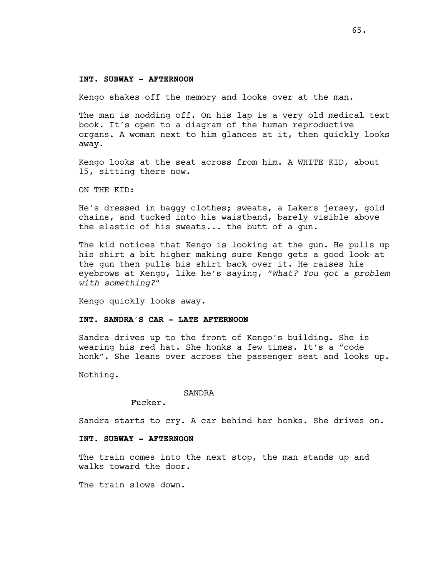#### **INT. SUBWAY - AFTERNOON**

Kengo shakes off the memory and looks over at the man.

The man is nodding off. On his lap is a very old medical text book. It's open to a diagram of the human reproductive organs. A woman next to him glances at it, then quickly looks away.

Kengo looks at the seat across from him. A WHITE KID, about 15, sitting there now.

ON THE KID:

He's dressed in baggy clothes; sweats, a Lakers jersey, gold chains, and tucked into his waistband, barely visible above the elastic of his sweats... the butt of a gun.

The kid notices that Kengo is looking at the gun. He pulls up his shirt a bit higher making sure Kengo gets a good look at the gun then pulls his shirt back over it. He raises his eyebrows at Kengo, like he's saying, "*What? You got a problem with something?"*

Kengo quickly looks away.

## **INT. SANDRA'S CAR - LATE AFTERNOON**

Sandra drives up to the front of Kengo's building. She is wearing his red hat. She honks a few times. It's a "code honk". She leans over across the passenger seat and looks up.

Nothing.

#### SANDRA

Fucker.

Sandra starts to cry. A car behind her honks. She drives on.

## **INT. SUBWAY - AFTERNOON**

The train comes into the next stop, the man stands up and walks toward the door.

The train slows down.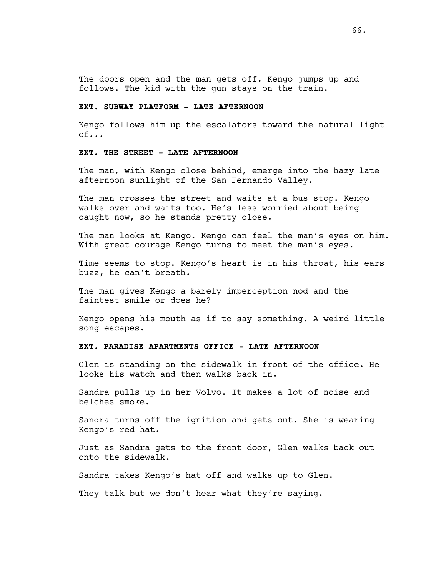The doors open and the man gets off. Kengo jumps up and follows. The kid with the gun stays on the train.

# **EXT. SUBWAY PLATFORM - LATE AFTERNOON**

Kengo follows him up the escalators toward the natural light of...

# **EXT. THE STREET - LATE AFTERNOON**

The man, with Kengo close behind, emerge into the hazy late afternoon sunlight of the San Fernando Valley.

The man crosses the street and waits at a bus stop. Kengo walks over and waits too. He's less worried about being caught now, so he stands pretty close.

The man looks at Kengo. Kengo can feel the man's eyes on him. With great courage Kengo turns to meet the man's eyes.

Time seems to stop. Kengo's heart is in his throat, his ears buzz, he can't breath.

The man gives Kengo a barely imperception nod and the faintest smile or does he?

Kengo opens his mouth as if to say something. A weird little song escapes.

## **EXT. PARADISE APARTMENTS OFFICE - LATE AFTERNOON**

Glen is standing on the sidewalk in front of the office. He looks his watch and then walks back in.

Sandra pulls up in her Volvo. It makes a lot of noise and belches smoke.

Sandra turns off the ignition and gets out. She is wearing Kengo's red hat.

Just as Sandra gets to the front door, Glen walks back out onto the sidewalk.

Sandra takes Kengo's hat off and walks up to Glen.

They talk but we don't hear what they're saying.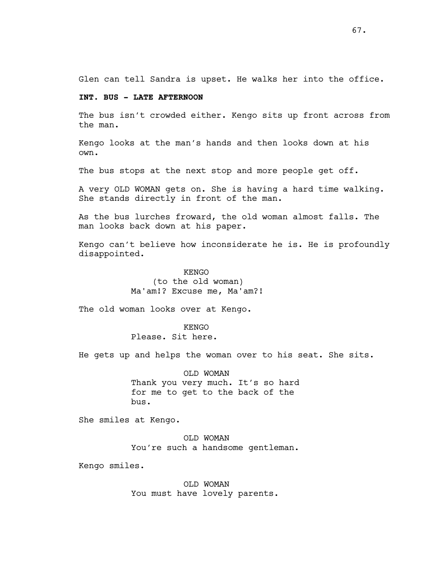Glen can tell Sandra is upset. He walks her into the office.

# **INT. BUS - LATE AFTERNOON**

The bus isn't crowded either. Kengo sits up front across from the man.

Kengo looks at the man's hands and then looks down at his own.

The bus stops at the next stop and more people get off.

A very OLD WOMAN gets on. She is having a hard time walking. She stands directly in front of the man.

As the bus lurches froward, the old woman almost falls. The man looks back down at his paper.

Kengo can't believe how inconsiderate he is. He is profoundly disappointed.

> KENGO (to the old woman) Ma'am!? Excuse me, Ma'am?!

The old woman looks over at Kengo.

KENGO Please. Sit here.

He gets up and helps the woman over to his seat. She sits.

OLD WOMAN Thank you very much. It's so hard for me to get to the back of the bus.

She smiles at Kengo.

OLD WOMAN You're such a handsome gentleman.

Kengo smiles.

OLD WOMAN You must have lovely parents.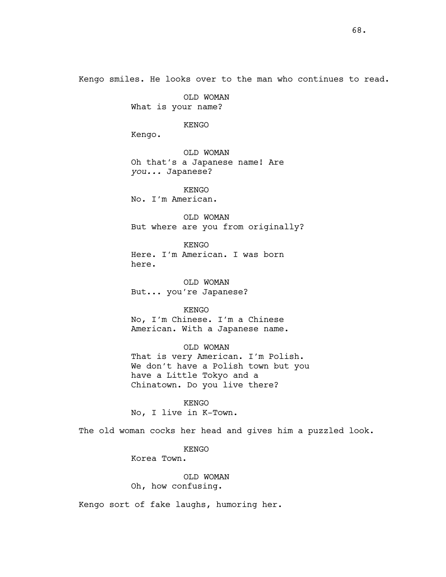Kengo smiles. He looks over to the man who continues to read.

OLD WOMAN What is your name?

KENGO

Kengo.

OLD WOMAN Oh that's a Japanese name! Are *you...* Japanese?

KENGO No. I'm American.

OLD WOMAN But where are you from originally?

KENGO Here. I'm American. I was born here.

OLD WOMAN But... you're Japanese?

KENGO No, I'm Chinese. I'm a Chinese American. With a Japanese name.

OLD WOMAN That is very American. I'm Polish. We don't have a Polish town but you have a Little Tokyo and a Chinatown. Do you live there?

KENGO No, I live in K-Town.

The old woman cocks her head and gives him a puzzled look.

KENGO

Korea Town.

OLD WOMAN

Oh, how confusing.

Kengo sort of fake laughs, humoring her.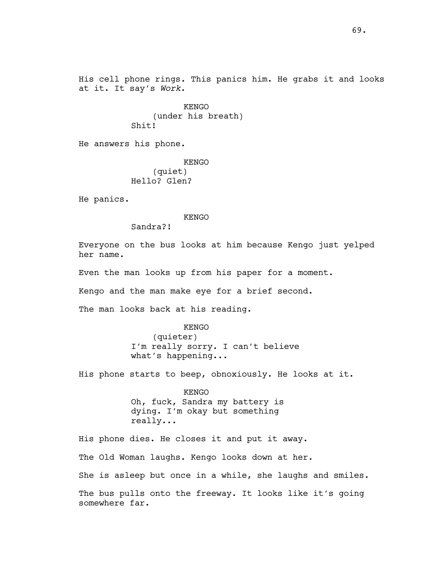His cell phone rings. This panics him. He grabs it and looks at it. It say's *Work*.

> KENGO (under his breath) Shit!

He answers his phone.

KENGO (quiet) Hello? Glen?

He panics.

KENGO

Sandra?!

Everyone on the bus looks at him because Kengo just yelped her name.

Even the man looks up from his paper for a moment.

Kengo and the man make eye for a brief second.

The man looks back at his reading.

KENGO (quieter) I'm really sorry. I can't believe what's happening...

His phone starts to beep, obnoxiously. He looks at it.

KENGO Oh, fuck, Sandra my battery is dying. I'm okay but something really...

His phone dies. He closes it and put it away. The Old Woman laughs. Kengo looks down at her. She is asleep but once in a while, she laughs and smiles. The bus pulls onto the freeway. It looks like it's going somewhere far.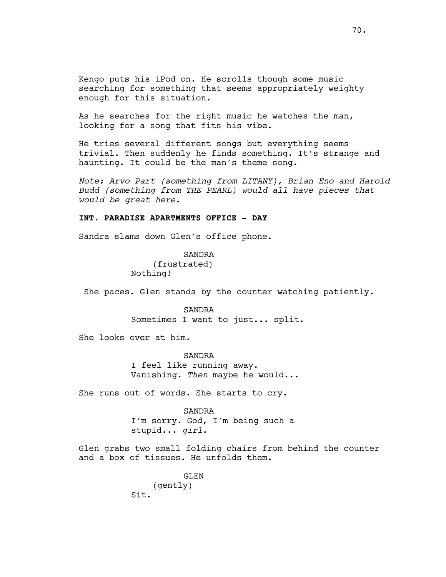Kengo puts his iPod on. He scrolls though some music searching for something that seems appropriately weighty enough for this situation.

As he searches for the right music he watches the man, looking for a song that fits his vibe.

He tries several different songs but everything seems trivial. Then suddenly he finds something. It's strange and haunting. It could be the man's theme song.

*Note: Arvo Part (something from LITANY), Brian Eno and Harold Budd (something from THE PEARL) would all have pieces that would be great here.*

# **INT. PARADISE APARTMENTS OFFICE - DAY**

Sandra slams down Glen's office phone.

SANDRA (frustrated) Nothing!

She paces. Glen stands by the counter watching patiently.

SANDRA Sometimes I want to just... split.

She looks over at him.

SANDRA I feel like running away. Vanishing. *Then* maybe he would...

She runs out of words. She starts to cry.

SANDRA I'm sorry. God, I'm being such a stupid... *girl*.

Glen grabs two small folding chairs from behind the counter and a box of tissues. He unfolds them.

> GLEN (gently) Sit.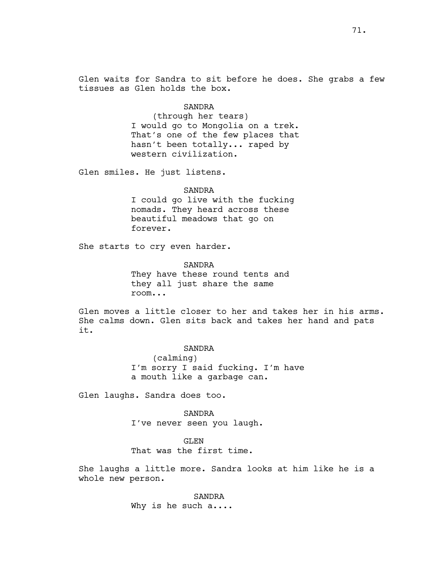Glen waits for Sandra to sit before he does. She grabs a few tissues as Glen holds the box.

## SANDRA

(through her tears) I would go to Mongolia on a trek. That's one of the few places that hasn't been totally... raped by western civilization.

Glen smiles. He just listens.

## SANDRA

I could go live with the fucking nomads. They heard across these beautiful meadows that go on forever.

She starts to cry even harder.

SANDRA They have these round tents and they all just share the same room...

Glen moves a little closer to her and takes her in his arms. She calms down. Glen sits back and takes her hand and pats it.

> SANDRA (calming) I'm sorry I said fucking. I'm have a mouth like a garbage can.

Glen laughs. Sandra does too.

SANDRA I've never seen you laugh.

GLEN

That was the first time.

She laughs a little more. Sandra looks at him like he is a whole new person.

> SANDRA Why is he such a....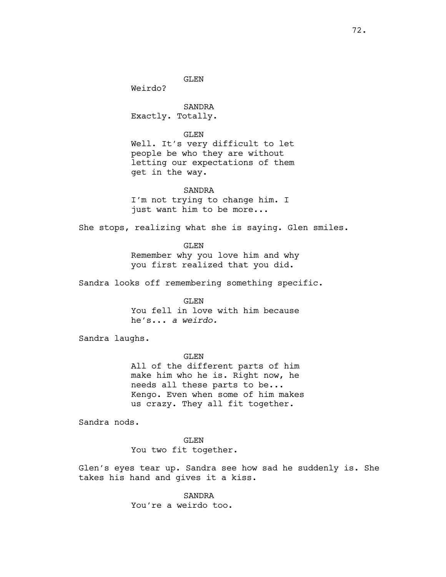GLEN

Weirdo?

SANDRA Exactly. Totally.

GLEN Well. It's very difficult to let people be who they are without letting our expectations of them get in the way.

### SANDRA

I'm not trying to change him. I just want him to be more...

She stops, realizing what she is saying. Glen smiles.

GLEN Remember why you love him and why you first realized that you did.

Sandra looks off remembering something specific.

GLEN You fell in love with him because he's... *a weirdo.* 

Sandra laughs.

GLEN All of the different parts of him make him who he is. Right now, he needs all these parts to be... Kengo. Even when some of him makes us crazy. They all fit together.

Sandra nods.

GLEN You two fit together.

Glen's eyes tear up. Sandra see how sad he suddenly is. She takes his hand and gives it a kiss.

> SANDRA You're a weirdo too.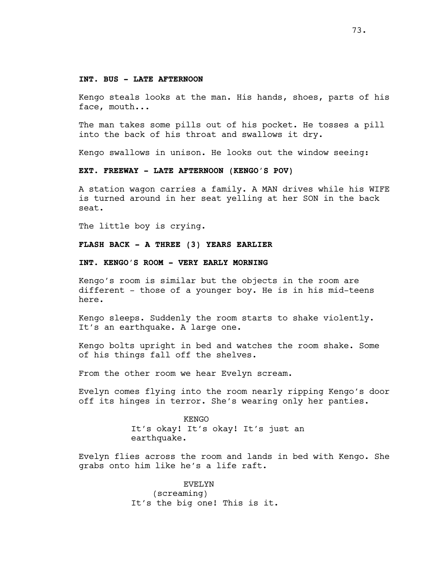#### **INT. BUS - LATE AFTERNOON**

Kengo steals looks at the man. His hands, shoes, parts of his face, mouth...

The man takes some pills out of his pocket. He tosses a pill into the back of his throat and swallows it dry.

Kengo swallows in unison. He looks out the window seeing:

#### **EXT. FREEWAY - LATE AFTERNOON (KENGO'S POV)**

A station wagon carries a family. A MAN drives while his WIFE is turned around in her seat yelling at her SON in the back seat.

The little boy is crying.

**FLASH BACK - A THREE (3) YEARS EARLIER**

**INT. KENGO'S ROOM - VERY EARLY MORNING**

Kengo's room is similar but the objects in the room are different - those of a younger boy. He is in his mid-teens here.

Kengo sleeps. Suddenly the room starts to shake violently. It's an earthquake. A large one.

Kengo bolts upright in bed and watches the room shake. Some of his things fall off the shelves.

From the other room we hear Evelyn scream.

Evelyn comes flying into the room nearly ripping Kengo's door off its hinges in terror. She's wearing only her panties.

> KENGO It's okay! It's okay! It's just an earthquake.

Evelyn flies across the room and lands in bed with Kengo. She grabs onto him like he's a life raft.

> EVELYN (screaming) It's the big one! This is it.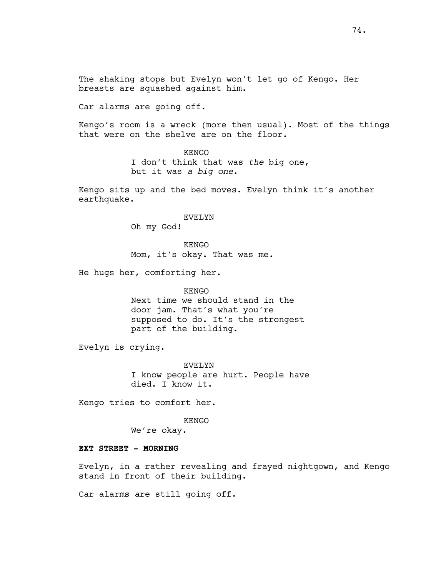The shaking stops but Evelyn won't let go of Kengo. Her breasts are squashed against him.

Car alarms are going off.

Kengo's room is a wreck (more then usual). Most of the things that were on the shelve are on the floor.

> KENGO I don't think that was *the* big one, but it was *a big one*.

Kengo sits up and the bed moves. Evelyn think it's another earthquake.

> EVELYN Oh my God!

KENGO Mom, it's okay. That was me.

He hugs her, comforting her.

KENGO Next time we should stand in the door jam. That's what you're supposed to do. It's the strongest part of the building.

Evelyn is crying.

EVELYN I know people are hurt. People have died. I know it.

Kengo tries to comfort her.

KENGO

We're okay.

#### **EXT STREET - MORNING**

Evelyn, in a rather revealing and frayed nightgown, and Kengo stand in front of their building.

Car alarms are still going off.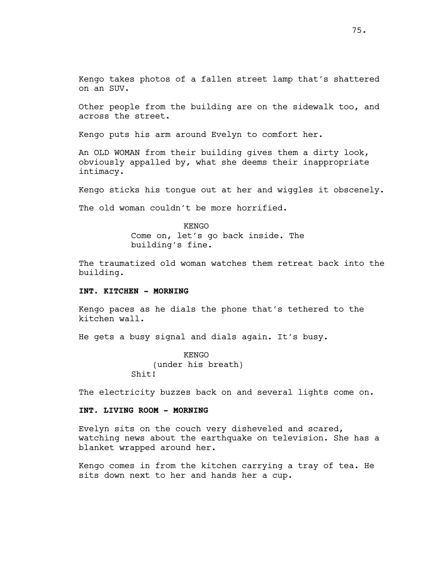Kengo takes photos of a fallen street lamp that's shattered on an SUV.

Other people from the building are on the sidewalk too, and across the street.

Kengo puts his arm around Evelyn to comfort her.

An OLD WOMAN from their building gives them a dirty look, obviously appalled by, what she deems their inappropriate intimacy.

Kengo sticks his tongue out at her and wiggles it obscenely.

The old woman couldn't be more horrified.

KENGO Come on, let's go back inside. The building's fine.

The traumatized old woman watches them retreat back into the building.

### **INT. KITCHEN - MORNING**

Kengo paces as he dials the phone that's tethered to the kitchen wall.

He gets a busy signal and dials again. It's busy.

KENGO (under his breath) Shit!

The electricity buzzes back on and several lights come on.

# **INT. LIVING ROOM - MORNING**

Evelyn sits on the couch very disheveled and scared, watching news about the earthquake on television. She has a blanket wrapped around her.

Kengo comes in from the kitchen carrying a tray of tea. He sits down next to her and hands her a cup.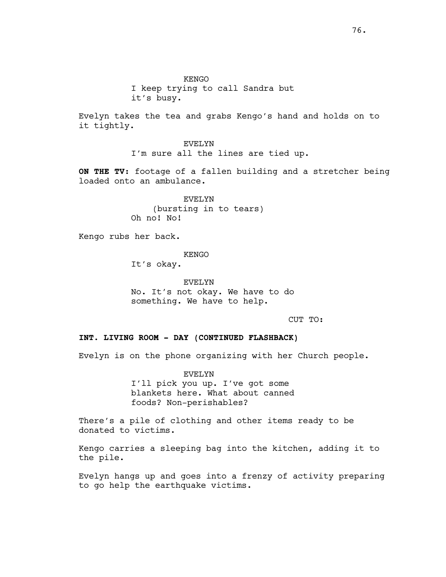KENGO I keep trying to call Sandra but it's busy.

Evelyn takes the tea and grabs Kengo's hand and holds on to it tightly.

> EVELYN I'm sure all the lines are tied up.

**ON THE TV:** footage of a fallen building and a stretcher being loaded onto an ambulance.

> EVELYN (bursting in to tears) Oh no! No!

Kengo rubs her back.

KENGO

It's okay.

EVELYN No. It's not okay. We have to do something. We have to help.

CUT TO:

# **INT. LIVING ROOM - DAY (CONTINUED FLASHBACK)**

Evelyn is on the phone organizing with her Church people.

EVELYN I'll pick you up. I've got some blankets here. What about canned foods? Non-perishables?

There's a pile of clothing and other items ready to be donated to victims.

Kengo carries a sleeping bag into the kitchen, adding it to the pile.

Evelyn hangs up and goes into a frenzy of activity preparing to go help the earthquake victims.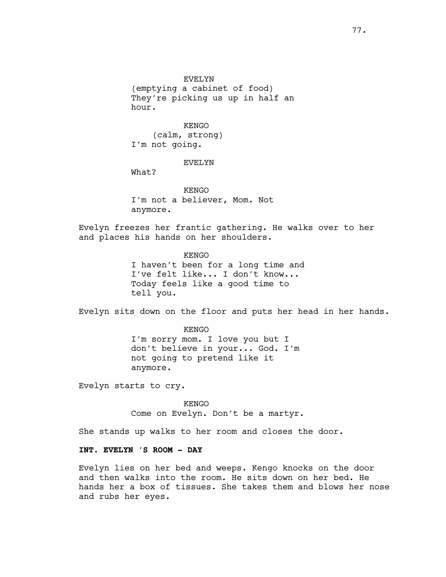EVELYN (emptying a cabinet of food) They're picking us up in half an hour.

KENGO (calm, strong) I'm not going.

#### EVELYN

What?

KENGO I'm not a believer, Mom. Not anymore.

Evelyn freezes her frantic gathering. He walks over to her and places his hands on her shoulders.

> KENGO I haven't been for a long time and I've felt like... I don't know... Today feels like a good time to tell you.

Evelyn sits down on the floor and puts her head in her hands.

KENGO I'm sorry mom. I love you but I don't believe in your... God. I'm not going to pretend like it anymore.

Evelyn starts to cry.

KENGO Come on Evelyn. Don't be a martyr.

She stands up walks to her room and closes the door.

# **INT. EVELYN 'S ROOM - DAY**

Evelyn lies on her bed and weeps. Kengo knocks on the door and then walks into the room. He sits down on her bed. He hands her a box of tissues. She takes them and blows her nose and rubs her eyes.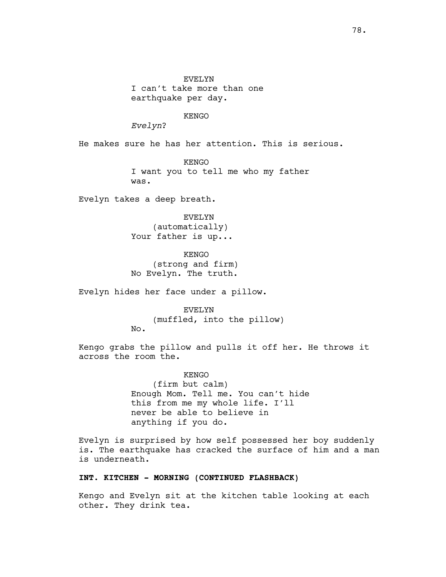EVELYN I can't take more than one earthquake per day.

# KENGO

*Evelyn*?

He makes sure he has her attention. This is serious.

KENGO I want you to tell me who my father was.

Evelyn takes a deep breath.

EVELYN (automatically) Your father is up...

KENGO (strong and firm) No Evelyn. The truth.

Evelyn hides her face under a pillow.

EVELYN (muffled, into the pillow) No.

Kengo grabs the pillow and pulls it off her. He throws it across the room the.

> KENGO (firm but calm) Enough Mom. Tell me. You can't hide this from me my whole life. I'll never be able to believe in anything if you do.

Evelyn is surprised by how self possessed her boy suddenly is. The earthquake has cracked the surface of him and a man is underneath.

# **INT. KITCHEN - MORNING (CONTINUED FLASHBACK)**

Kengo and Evelyn sit at the kitchen table looking at each other. They drink tea.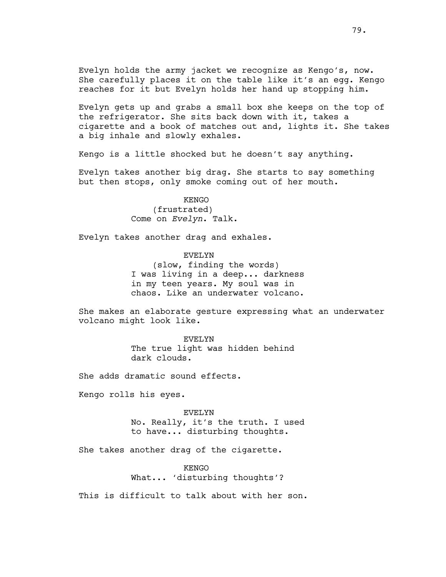Evelyn holds the army jacket we recognize as Kengo's, now. She carefully places it on the table like it's an egg. Kengo reaches for it but Evelyn holds her hand up stopping him.

Evelyn gets up and grabs a small box she keeps on the top of the refrigerator. She sits back down with it, takes a cigarette and a book of matches out and, lights it. She takes a big inhale and slowly exhales.

Kengo is a little shocked but he doesn't say anything.

Evelyn takes another big drag. She starts to say something but then stops, only smoke coming out of her mouth.

## KENGO

(frustrated) Come on *Evelyn*. Talk.

Evelyn takes another drag and exhales.

EVELYN (slow, finding the words) I was living in a deep... darkness in my teen years. My soul was in chaos. Like an underwater volcano.

She makes an elaborate gesture expressing what an underwater volcano might look like.

> EVELYN The true light was hidden behind dark clouds.

She adds dramatic sound effects.

Kengo rolls his eyes.

EVELYN No. Really, it's the truth. I used to have... disturbing thoughts.

She takes another drag of the cigarette.

KENGO What... 'disturbing thoughts'?

This is difficult to talk about with her son.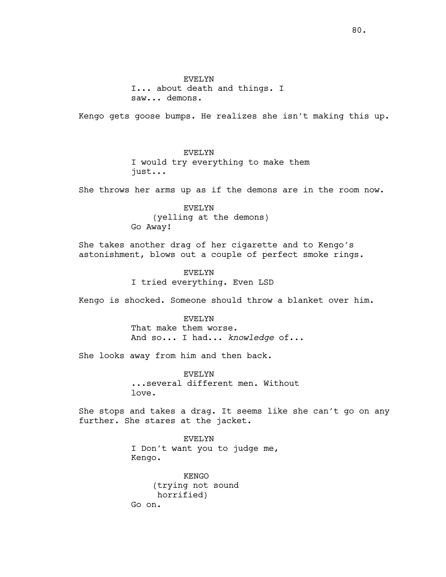I... about death and things. I saw... demons.

Kengo gets goose bumps. He realizes she isn't making this up.

# EVELYN

I would try everything to make them just...

She throws her arms up as if the demons are in the room now.

EVELYN (yelling at the demons) Go Away!

She takes another drag of her cigarette and to Kengo's astonishment, blows out a couple of perfect smoke rings.

> EVELYN I tried everything. Even LSD

Kengo is shocked. Someone should throw a blanket over him.

EVELYN That make them worse. And so... I had... *knowledge* of...

She looks away from him and then back.

EVELYN ...several different men. Without love.

She stops and takes a drag. It seems like she can't go on any further. She stares at the jacket.

> EVELYN I Don't want you to judge me, Kengo.

KENGO (trying not sound horrified) Go on.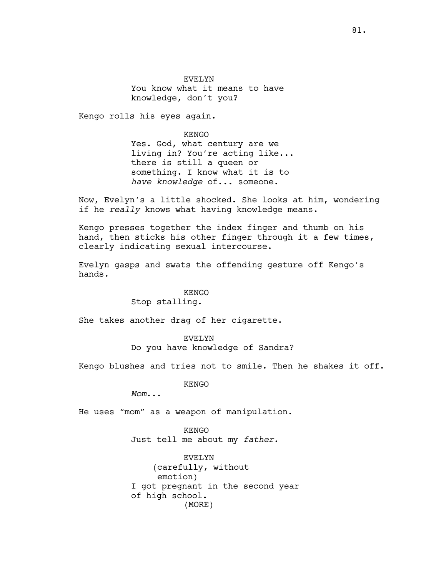EVELYN You know what it means to have knowledge, don't you?

Kengo rolls his eyes again.

KENGO Yes. God, what century are we living in? You're acting like... there is still a queen or something. I know what it is to *have knowledge* of... someone.

Now, Evelyn's a little shocked. She looks at him, wondering if he *really* knows what having knowledge means.

Kengo presses together the index finger and thumb on his hand, then sticks his other finger through it a few times, clearly indicating sexual intercourse.

Evelyn gasps and swats the offending gesture off Kengo's hands.

# KENGO

# Stop stalling.

She takes another drag of her cigarette.

EVELYN Do you have knowledge of Sandra?

Kengo blushes and tries not to smile. Then he shakes it off.

KENGO

*Mom*...

He uses "mom" as a weapon of manipulation.

KENGO Just tell me about my *father*.

EVELYN (carefully, without emotion) I got pregnant in the second year of high school. (MORE)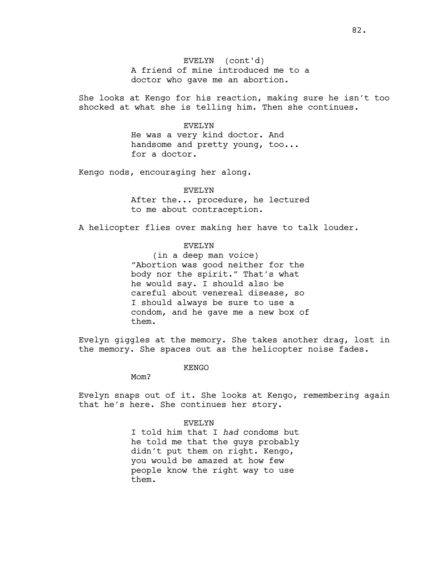A friend of mine introduced me to a doctor who gave me an abortion. EVELYN (cont'd)

She looks at Kengo for his reaction, making sure he isn't too shocked at what she is telling him. Then she continues.

#### EVELYN

He was a very kind doctor. And handsome and pretty young, too... for a doctor.

Kengo nods, encouraging her along.

#### EVELYN

After the... procedure, he lectured to me about contraception.

A helicopter flies over making her have to talk louder.

### EVELYN

(in a deep man voice) "Abortion was good neither for the body nor the spirit." That's what he would say. I should also be careful about venereal disease, so I should always be sure to use a condom, and he gave me a new box of them.

Evelyn giggles at the memory. She takes another drag, lost in the memory. She spaces out as the helicopter noise fades.

KENGO

Mom?

Evelyn snaps out of it. She looks at Kengo, remembering again that he's here. She continues her story.

#### EVELYN

I told him that I *had* condoms but he told me that the guys probably didn't put them on right. Kengo, you would be amazed at how few people know the right way to use them.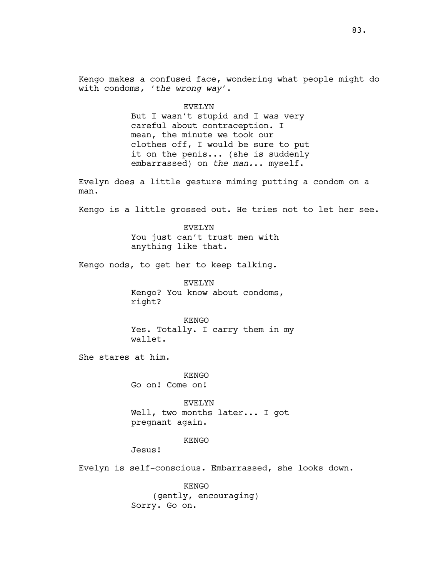Kengo makes a confused face, wondering what people might do with condoms, '*the wrong way*'.

#### EVELYN

But I wasn't stupid and I was very careful about contraception. I mean, the minute we took our clothes off, I would be sure to put it on the penis... (she is suddenly embarrassed) on *the man.*.. myself.

Evelyn does a little gesture miming putting a condom on a man.

Kengo is a little grossed out. He tries not to let her see.

EVELYN You just can't trust men with anything like that.

Kengo nods, to get her to keep talking.

EVELYN Kengo? You know about condoms, right?

KENGO Yes. Totally. I carry them in my wallet.

She stares at him.

KENGO Go on! Come on!

EVELYN Well, two months later... I got pregnant again.

#### KENGO

Jesus!

Evelyn is self-conscious. Embarrassed, she looks down.

KENGO (gently, encouraging) Sorry. Go on.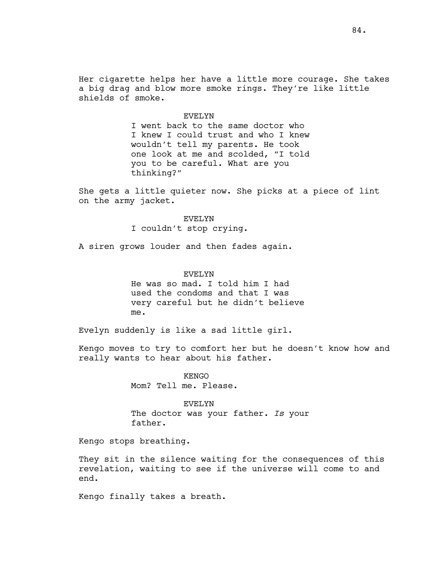#### EVELYN

I went back to the same doctor who I knew I could trust and who I knew wouldn't tell my parents. He took one look at me and scolded, "I told you to be careful. What are you thinking?"

She gets a little quieter now. She picks at a piece of lint on the army jacket.

### EVELYN

I couldn't stop crying.

A siren grows louder and then fades again.

### EVELYN

He was so mad. I told him I had used the condoms and that I was very careful but he didn't believe me.

Evelyn suddenly is like a sad little girl.

Kengo moves to try to comfort her but he doesn't know how and really wants to hear about his father.

> KENGO Mom? Tell me. Please.

EVELYN The doctor was your father. *Is* your father.

Kengo stops breathing.

They sit in the silence waiting for the consequences of this revelation, waiting to see if the universe will come to and end.

Kengo finally takes a breath.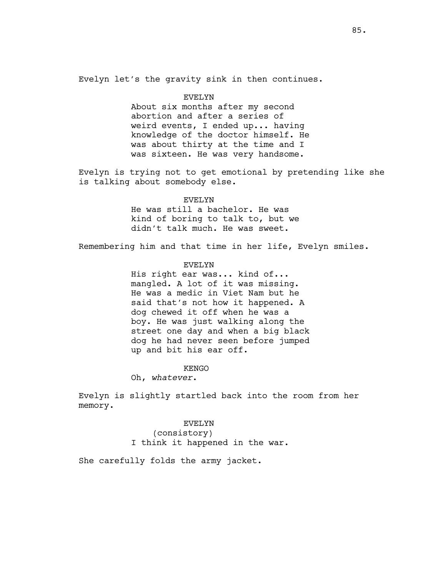Evelyn let's the gravity sink in then continues.

#### EVELYN

About six months after my second abortion and after a series of weird events, I ended up... having knowledge of the doctor himself. He was about thirty at the time and I was sixteen. He was very handsome.

Evelyn is trying not to get emotional by pretending like she is talking about somebody else.

#### EVELYN

He was still a bachelor. He was kind of boring to talk to, but we didn't talk much. He was sweet.

Remembering him and that time in her life, Evelyn smiles.

# EVELYN

His right ear was... kind of... mangled. A lot of it was missing. He was a medic in Viet Nam but he said that's not how it happened. A dog chewed it off when he was a boy. He was just walking along the street one day and when a big black dog he had never seen before jumped up and bit his ear off.

#### KENGO

Oh, *whatever*.

Evelyn is slightly startled back into the room from her memory.

> EVELYN (consistory) I think it happened in the war.

She carefully folds the army jacket.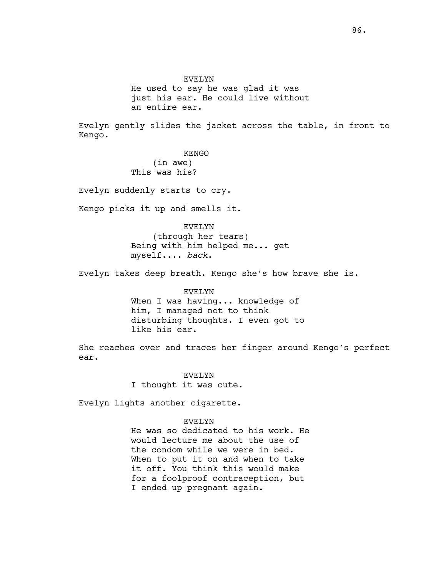He used to say he was glad it was just his ear. He could live without an entire ear.

Evelyn gently slides the jacket across the table, in front to Kengo.

KENGO

(in awe) This was his?

Evelyn suddenly starts to cry.

Kengo picks it up and smells it.

EVELYN

(through her tears) Being with him helped me... get myself.... *back*.

Evelyn takes deep breath. Kengo she's how brave she is.

EVELYN When I was having... knowledge of him, I managed not to think disturbing thoughts. I even got to like his ear.

She reaches over and traces her finger around Kengo's perfect ear.

> EVELYN I thought it was cute.

Evelyn lights another cigarette.

#### EVELYN

He was so dedicated to his work. He would lecture me about the use of the condom while we were in bed. When to put it on and when to take it off. You think this would make for a foolproof contraception, but I ended up pregnant again.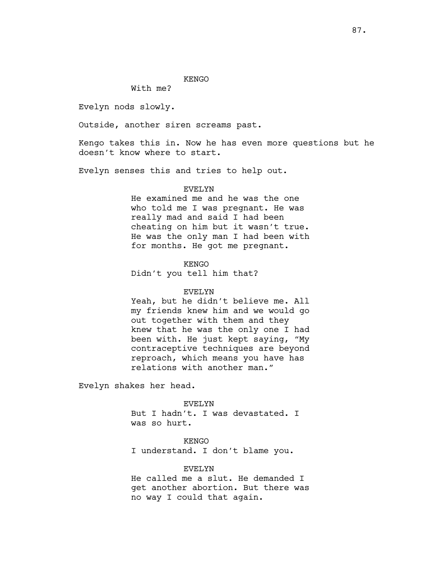#### KENGO

With me?

Evelyn nods slowly.

Outside, another siren screams past.

Kengo takes this in. Now he has even more questions but he doesn't know where to start.

Evelyn senses this and tries to help out.

### EVELYN

He examined me and he was the one who told me I was pregnant. He was really mad and said I had been cheating on him but it wasn't true. He was the only man I had been with for months. He got me pregnant.

KENGO Didn't you tell him that?

#### EVELYN

Yeah, but he didn't believe me. All my friends knew him and we would go out together with them and they knew that he was the only one I had been with. He just kept saying, "My contraceptive techniques are beyond reproach, which means you have has relations with another man."

Evelyn shakes her head.

EVELYN

But I hadn't. I was devastated. I was so hurt.

#### KENGO

I understand. I don't blame you.

### EVELYN

He called me a slut. He demanded I get another abortion. But there was no way I could that again.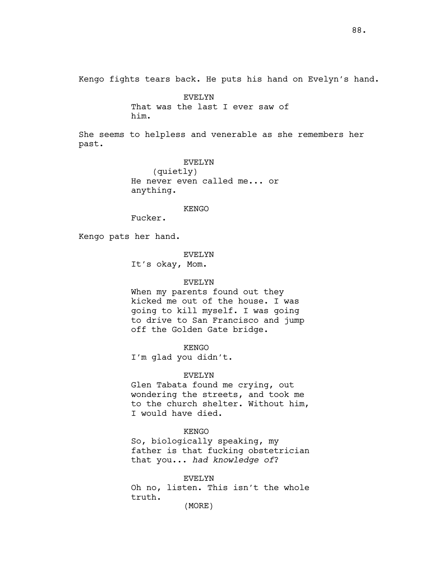Kengo fights tears back. He puts his hand on Evelyn's hand.

EVELYN That was the last I ever saw of him.

She seems to helpless and venerable as she remembers her past.

> EVELYN (quietly) He never even called me... or anything.

#### KENGO

Fucker.

Kengo pats her hand.

### EVELYN

It's okay, Mom.

#### EVELYN

When my parents found out they kicked me out of the house. I was going to kill myself. I was going to drive to San Francisco and jump off the Golden Gate bridge.

KENGO

I'm glad you didn't.

EVELYN

Glen Tabata found me crying, out wondering the streets, and took me to the church shelter. Without him, I would have died.

### KENGO

So, biologically speaking, my father is that fucking obstetrician that you... *had knowledge of*?

EVELYN Oh no, listen. This isn't the whole truth. (MORE)

88.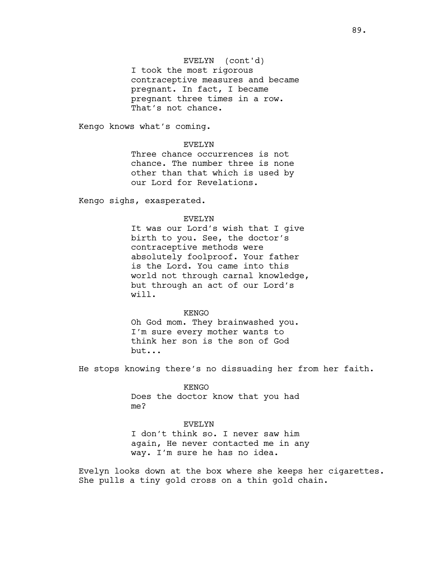# EVELYN (cont'd)

I took the most rigorous contraceptive measures and became pregnant. In fact, I became pregnant three times in a row. That's not chance.

Kengo knows what's coming.

### EVELYN

Three chance occurrences is not chance. The number three is none other than that which is used by our Lord for Revelations.

Kengo sighs, exasperated.

#### EVELYN

It was our Lord's wish that I give birth to you. See, the doctor's contraceptive methods were absolutely foolproof. Your father is the Lord. You came into this world not through carnal knowledge, but through an act of our Lord's will.

#### KENGO

Oh God mom. They brainwashed you. I'm sure every mother wants to think her son is the son of God but...

He stops knowing there's no dissuading her from her faith.

KENGO Does the doctor know that you had me?

# EVELYN I don't think so. I never saw him again, He never contacted me in any way. I'm sure he has no idea.

Evelyn looks down at the box where she keeps her cigarettes. She pulls a tiny gold cross on a thin gold chain.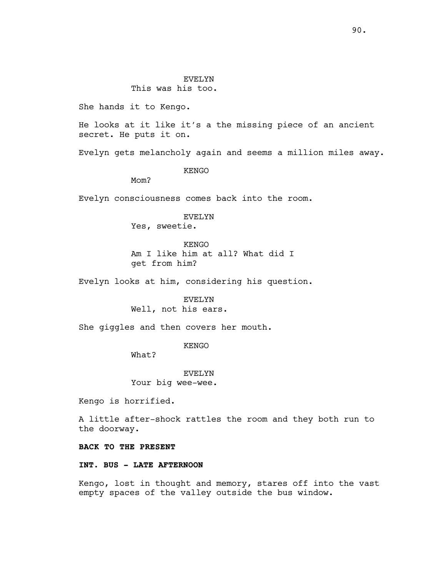# This was his too.

She hands it to Kengo.

He looks at it like it's a the missing piece of an ancient secret. He puts it on.

Evelyn gets melancholy again and seems a million miles away.

KENGO

Mom?

Evelyn consciousness comes back into the room.

# EVELYN Yes, sweetie.

KENGO Am I like him at all? What did I get from him?

Evelyn looks at him, considering his question.

EVELYN Well, not his ears.

She giggles and then covers her mouth.

KENGO

What?

EVELYN Your big wee-wee.

Kengo is horrified.

A little after-shock rattles the room and they both run to the doorway.

### **BACK TO THE PRESENT**

# **INT. BUS - LATE AFTERNOON**

Kengo, lost in thought and memory, stares off into the vast empty spaces of the valley outside the bus window.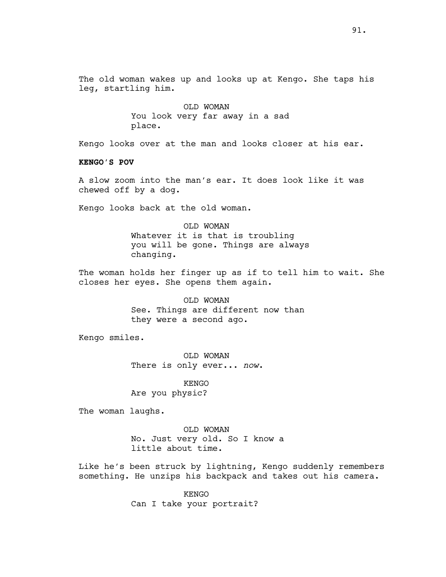The old woman wakes up and looks up at Kengo. She taps his leg, startling him.

> OLD WOMAN You look very far away in a sad place.

Kengo looks over at the man and looks closer at his ear.

**KENGO'S POV**

A slow zoom into the man's ear. It does look like it was chewed off by a dog.

Kengo looks back at the old woman.

OLD WOMAN Whatever it is that is troubling you will be gone. Things are always changing.

The woman holds her finger up as if to tell him to wait. She closes her eyes. She opens them again.

> OLD WOMAN See. Things are different now than they were a second ago.

Kengo smiles.

OLD WOMAN There is only ever... *now*.

KENGO Are you physic?

The woman laughs.

OLD WOMAN No. Just very old. So I know a little about time.

Like he's been struck by lightning, Kengo suddenly remembers something. He unzips his backpack and takes out his camera.

> KENGO Can I take your portrait?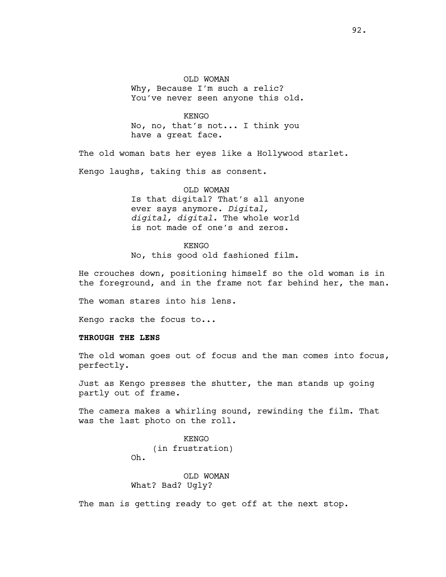OLD WOMAN Why, Because I'm such a relic? You've never seen anyone this old.

KENGO No, no, that's not... I think you have a great face.

The old woman bats her eyes like a Hollywood starlet.

Kengo laughs, taking this as consent.

OLD WOMAN Is that digital? That's all anyone ever says anymore. *Digital, digital, digital.* The whole world is not made of one's and zeros.

KENGO

No, this good old fashioned film.

He crouches down, positioning himself so the old woman is in the foreground, and in the frame not far behind her, the man.

The woman stares into his lens.

Kengo racks the focus to...

### **THROUGH THE LENS**

The old woman goes out of focus and the man comes into focus, perfectly.

Just as Kengo presses the shutter, the man stands up going partly out of frame.

The camera makes a whirling sound, rewinding the film. That was the last photo on the roll.

> KENGO (in frustration) Oh.

OLD WOMAN What? Bad? Ugly?

The man is getting ready to get off at the next stop.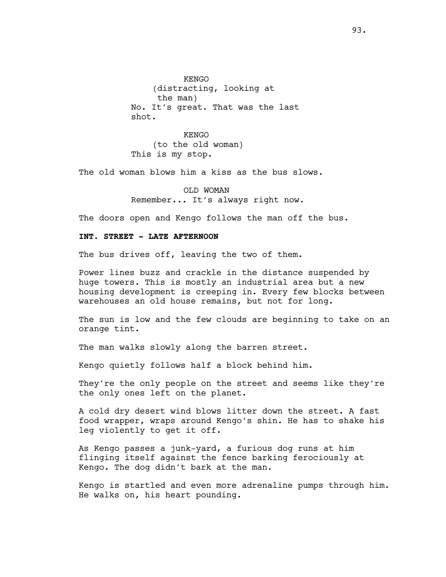**KENGO** (distracting, looking at the man) No. It's great. That was the last shot.

KENGO (to the old woman) This is my stop.

The old woman blows him a kiss as the bus slows.

OLD WOMAN Remember... It's always right now.

The doors open and Kengo follows the man off the bus.

# **INT. STREET - LATE AFTERNOON**

The bus drives off, leaving the two of them.

Power lines buzz and crackle in the distance suspended by huge towers. This is mostly an industrial area but a new housing development is creeping in. Every few blocks between warehouses an old house remains, but not for long.

The sun is low and the few clouds are beginning to take on an orange tint.

The man walks slowly along the barren street.

Kengo quietly follows half a block behind him.

They're the only people on the street and seems like they're the only ones left on the planet.

A cold dry desert wind blows litter down the street. A fast food wrapper, wraps around Kengo's shin. He has to shake his leg violently to get it off.

As Kengo passes a junk-yard, a furious dog runs at him flinging itself against the fence barking ferociously at Kengo. The dog didn't bark at the man.

Kengo is startled and even more adrenaline pumps through him. He walks on, his heart pounding.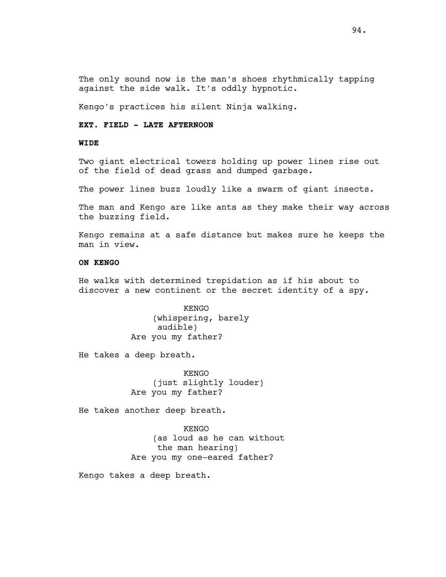The only sound now is the man's shoes rhythmically tapping against the side walk. It's oddly hypnotic.

Kengo's practices his silent Ninja walking.

# **EXT. FIELD - LATE AFTERNOON**

### **WIDE**

Two giant electrical towers holding up power lines rise out of the field of dead grass and dumped garbage.

The power lines buzz loudly like a swarm of giant insects.

The man and Kengo are like ants as they make their way across the buzzing field.

Kengo remains at a safe distance but makes sure he keeps the man in view.

# **ON KENGO**

He walks with determined trepidation as if his about to discover a new continent or the secret identity of a spy.

> KENGO (whispering, barely audible) Are you my father?

He takes a deep breath.

KENGO (just slightly louder) Are you my father?

He takes another deep breath.

KENGO

(as loud as he can without the man hearing) Are you my one-eared father?

Kengo takes a deep breath.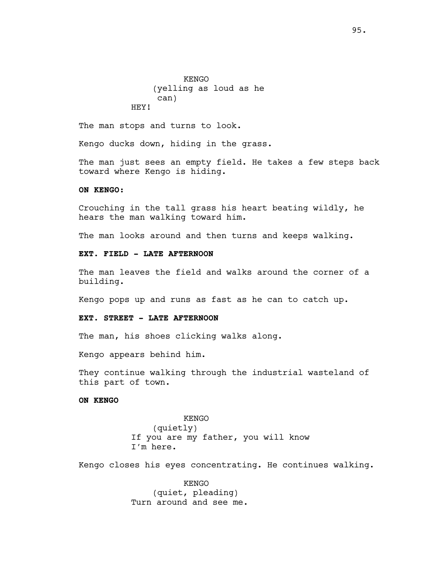KENGO (yelling as loud as he can) HEY!

The man stops and turns to look.

Kengo ducks down, hiding in the grass.

The man just sees an empty field. He takes a few steps back toward where Kengo is hiding.

# **ON KENGO:**

Crouching in the tall grass his heart beating wildly, he hears the man walking toward him.

The man looks around and then turns and keeps walking.

# **EXT. FIELD - LATE AFTERNOON**

The man leaves the field and walks around the corner of a building.

Kengo pops up and runs as fast as he can to catch up.

# **EXT. STREET - LATE AFTERNOON**

The man, his shoes clicking walks along.

Kengo appears behind him.

They continue walking through the industrial wasteland of this part of town.

# **ON KENGO**

KENGO (quietly) If you are my father, you will know I'm here.

Kengo closes his eyes concentrating. He continues walking.

KENGO (quiet, pleading) Turn around and see me.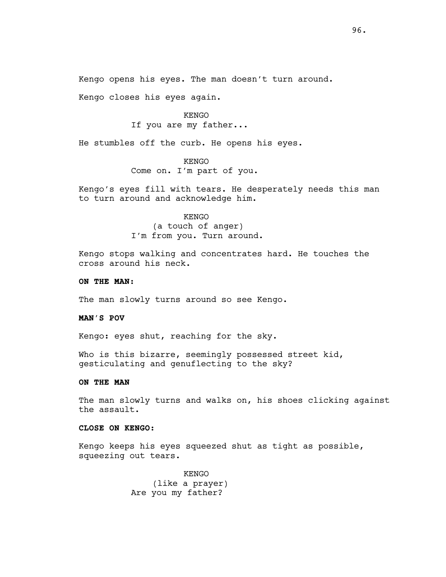Kengo opens his eyes. The man doesn't turn around.

Kengo closes his eyes again.

KENGO If you are my father...

He stumbles off the curb. He opens his eyes.

KENGO Come on. I'm part of you.

Kengo's eyes fill with tears. He desperately needs this man to turn around and acknowledge him.

> KENGO (a touch of anger) I'm from you. Turn around.

Kengo stops walking and concentrates hard. He touches the cross around his neck.

# **ON THE MAN:**

The man slowly turns around so see Kengo.

# **MAN'S POV**

Kengo: eyes shut, reaching for the sky.

Who is this bizarre, seemingly possessed street kid, gesticulating and genuflecting to the sky?

# **ON THE MAN**

The man slowly turns and walks on, his shoes clicking against the assault.

#### **CLOSE ON KENGO:**

Kengo keeps his eyes squeezed shut as tight as possible, squeezing out tears.

> KENGO (like a prayer) Are you my father?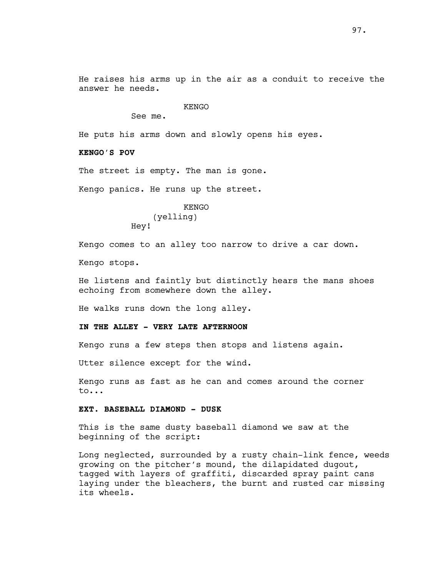He raises his arms up in the air as a conduit to receive the answer he needs.

# KENGO

See me.

He puts his arms down and slowly opens his eyes.

### **KENGO'S POV**

The street is empty. The man is gone.

Kengo panics. He runs up the street.

KENGO (yelling) Hey!

Kengo comes to an alley too narrow to drive a car down.

Kengo stops.

He listens and faintly but distinctly hears the mans shoes echoing from somewhere down the alley.

He walks runs down the long alley.

# **IN THE ALLEY - VERY LATE AFTERNOON**

Kengo runs a few steps then stops and listens again.

Utter silence except for the wind.

Kengo runs as fast as he can and comes around the corner to...

# **EXT. BASEBALL DIAMOND - DUSK**

This is the same dusty baseball diamond we saw at the beginning of the script:

Long neglected, surrounded by a rusty chain-link fence, weeds growing on the pitcher's mound, the dilapidated dugout, tagged with layers of graffiti, discarded spray paint cans laying under the bleachers, the burnt and rusted car missing its wheels.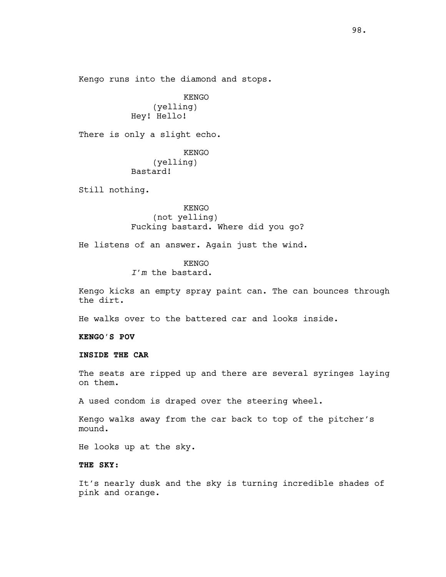Kengo runs into the diamond and stops.

KENGO (yelling) Hey! Hello!

There is only a slight echo.

KENGO (yelling) Bastard!

Still nothing.

KENGO (not yelling) Fucking bastard. Where did you go?

He listens of an answer. Again just the wind.

KENGO

*I'm* the bastard.

Kengo kicks an empty spray paint can. The can bounces through the dirt.

He walks over to the battered car and looks inside.

**KENGO'S POV**

# **INSIDE THE CAR**

The seats are ripped up and there are several syringes laying on them.

A used condom is draped over the steering wheel.

Kengo walks away from the car back to top of the pitcher's mound.

He looks up at the sky.

# **THE SKY:**

It's nearly dusk and the sky is turning incredible shades of pink and orange.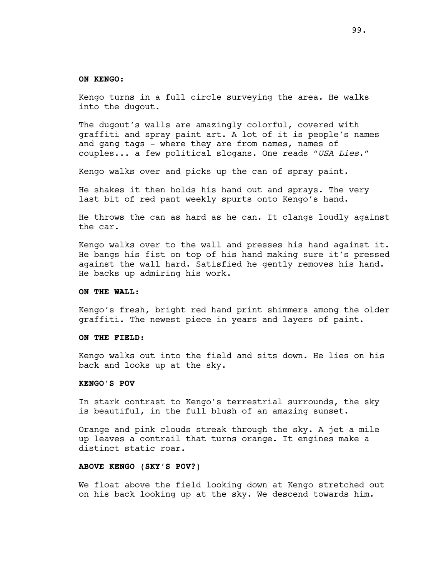#### **ON KENGO:**

Kengo turns in a full circle surveying the area. He walks into the dugout.

The dugout's walls are amazingly colorful, covered with graffiti and spray paint art. A lot of it is people's names and gang tags - where they are from names, names of couples... a few political slogans. One reads *"USA Lies*."

Kengo walks over and picks up the can of spray paint.

He shakes it then holds his hand out and sprays. The very last bit of red pant weekly spurts onto Kengo's hand.

He throws the can as hard as he can. It clangs loudly against the car.

Kengo walks over to the wall and presses his hand against it. He bangs his fist on top of his hand making sure it's pressed against the wall hard. Satisfied he gently removes his hand. He backs up admiring his work.

### **ON THE WALL:**

Kengo's fresh, bright red hand print shimmers among the older graffiti. The newest piece in years and layers of paint.

# **ON THE FIELD:**

Kengo walks out into the field and sits down. He lies on his back and looks up at the sky.

#### **KENGO'S POV**

In stark contrast to Kengo's terrestrial surrounds, the sky is beautiful, in the full blush of an amazing sunset.

Orange and pink clouds streak through the sky. A jet a mile up leaves a contrail that turns orange. It engines make a distinct static roar.

# **ABOVE KENGO (SKY'S POV?)**

We float above the field looking down at Kengo stretched out on his back looking up at the sky. We descend towards him.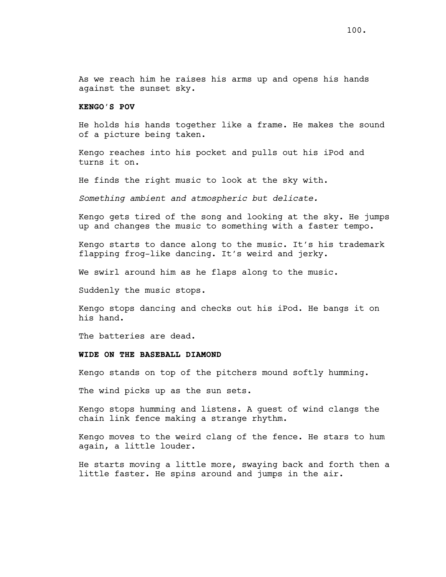As we reach him he raises his arms up and opens his hands against the sunset sky.

# **KENGO'S POV**

He holds his hands together like a frame. He makes the sound of a picture being taken.

Kengo reaches into his pocket and pulls out his iPod and turns it on.

He finds the right music to look at the sky with.

*Something ambient and atmospheric but delicate.* 

Kengo gets tired of the song and looking at the sky. He jumps up and changes the music to something with a faster tempo.

Kengo starts to dance along to the music. It's his trademark flapping frog-like dancing. It's weird and jerky.

We swirl around him as he flaps along to the music.

Suddenly the music stops.

Kengo stops dancing and checks out his iPod. He bangs it on his hand.

The batteries are dead.

### **WIDE ON THE BASEBALL DIAMOND**

Kengo stands on top of the pitchers mound softly humming.

The wind picks up as the sun sets.

Kengo stops humming and listens. A guest of wind clangs the chain link fence making a strange rhythm.

Kengo moves to the weird clang of the fence. He stars to hum again, a little louder.

He starts moving a little more, swaying back and forth then a little faster. He spins around and jumps in the air.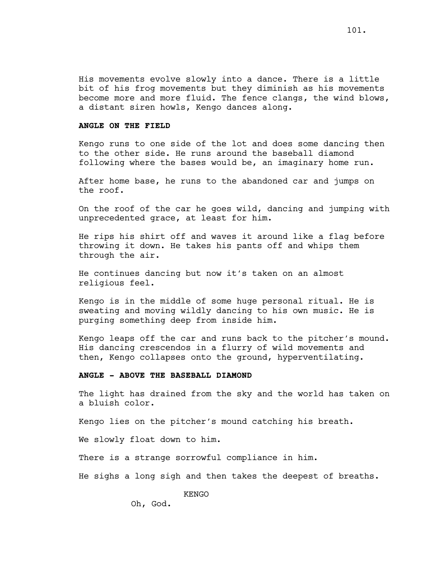His movements evolve slowly into a dance. There is a little bit of his frog movements but they diminish as his movements become more and more fluid. The fence clangs, the wind blows, a distant siren howls, Kengo dances along.

### **ANGLE ON THE FIELD**

Kengo runs to one side of the lot and does some dancing then to the other side. He runs around the baseball diamond following where the bases would be, an imaginary home run.

After home base, he runs to the abandoned car and jumps on the roof.

On the roof of the car he goes wild, dancing and jumping with unprecedented grace, at least for him.

He rips his shirt off and waves it around like a flag before throwing it down. He takes his pants off and whips them through the air.

He continues dancing but now it's taken on an almost religious feel.

Kengo is in the middle of some huge personal ritual. He is sweating and moving wildly dancing to his own music. He is purging something deep from inside him.

Kengo leaps off the car and runs back to the pitcher's mound. His dancing crescendos in a flurry of wild movements and then, Kengo collapses onto the ground, hyperventilating.

### **ANGLE - ABOVE THE BASEBALL DIAMOND**

The light has drained from the sky and the world has taken on a bluish color.

Kengo lies on the pitcher's mound catching his breath.

We slowly float down to him.

There is a strange sorrowful compliance in him.

He sighs a long sigh and then takes the deepest of breaths.

KENGO

Oh, God.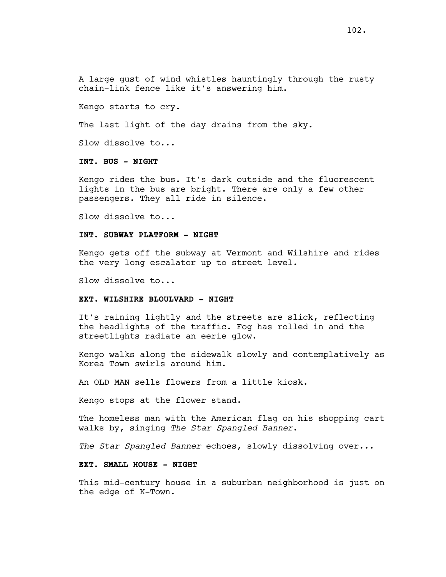Kengo starts to cry.

The last light of the day drains from the sky.

Slow dissolve to...

# **INT. BUS - NIGHT**

Kengo rides the bus. It's dark outside and the fluorescent lights in the bus are bright. There are only a few other passengers. They all ride in silence.

Slow dissolve to...

#### **INT. SUBWAY PLATFORM - NIGHT**

Kengo gets off the subway at Vermont and Wilshire and rides the very long escalator up to street level.

Slow dissolve to...

### **EXT. WILSHIRE BLOULVARD - NIGHT**

It's raining lightly and the streets are slick, reflecting the headlights of the traffic. Fog has rolled in and the streetlights radiate an eerie glow.

Kengo walks along the sidewalk slowly and contemplatively as Korea Town swirls around him.

An OLD MAN sells flowers from a little kiosk.

Kengo stops at the flower stand.

The homeless man with the American flag on his shopping cart walks by, singing *The Star Spangled Banner*.

*The Star Spangled Banner* echoes, slowly dissolving over...

# **EXT. SMALL HOUSE - NIGHT**

This mid-century house in a suburban neighborhood is just on the edge of K-Town.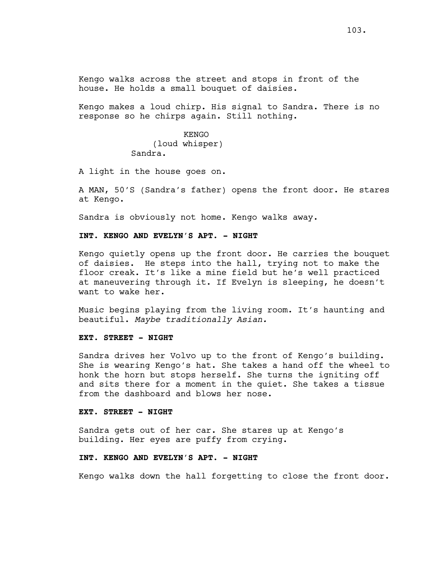Kengo walks across the street and stops in front of the house. He holds a small bouquet of daisies.

Kengo makes a loud chirp. His signal to Sandra. There is no response so he chirps again. Still nothing.

> KENGO (loud whisper) Sandra.

A light in the house goes on.

A MAN, 50'S (Sandra's father) opens the front door. He stares at Kengo.

Sandra is obviously not home. Kengo walks away.

#### **INT. KENGO AND EVELYN'S APT. - NIGHT**

Kengo quietly opens up the front door. He carries the bouquet of daisies. He steps into the hall, trying not to make the floor creak. It's like a mine field but he's well practiced at maneuvering through it. If Evelyn is sleeping, he doesn't want to wake her.

Music begins playing from the living room. It's haunting and beautiful. *Maybe traditionally Asian.* 

### **EXT. STREET - NIGHT**

Sandra drives her Volvo up to the front of Kengo's building. She is wearing Kengo's hat. She takes a hand off the wheel to honk the horn but stops herself. She turns the igniting off and sits there for a moment in the quiet. She takes a tissue from the dashboard and blows her nose.

#### **EXT. STREET - NIGHT**

Sandra gets out of her car. She stares up at Kengo's building. Her eyes are puffy from crying.

### **INT. KENGO AND EVELYN'S APT. - NIGHT**

Kengo walks down the hall forgetting to close the front door.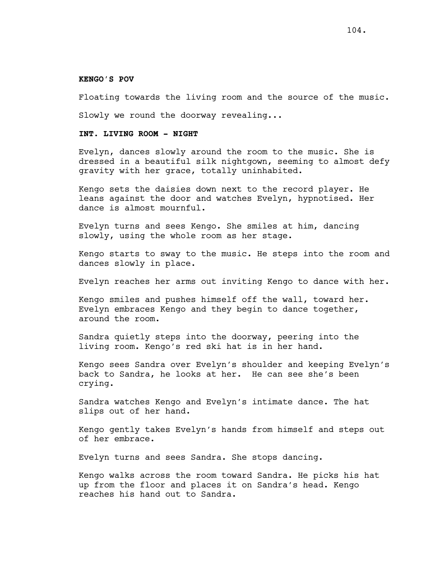#### **KENGO'S POV**

Floating towards the living room and the source of the music.

Slowly we round the doorway revealing...

# **INT. LIVING ROOM - NIGHT**

Evelyn, dances slowly around the room to the music. She is dressed in a beautiful silk nightgown, seeming to almost defy gravity with her grace, totally uninhabited.

Kengo sets the daisies down next to the record player. He leans against the door and watches Evelyn, hypnotised. Her dance is almost mournful.

Evelyn turns and sees Kengo. She smiles at him, dancing slowly, using the whole room as her stage.

Kengo starts to sway to the music. He steps into the room and dances slowly in place.

Evelyn reaches her arms out inviting Kengo to dance with her.

Kengo smiles and pushes himself off the wall, toward her. Evelyn embraces Kengo and they begin to dance together, around the room.

Sandra quietly steps into the doorway, peering into the living room. Kengo's red ski hat is in her hand.

Kengo sees Sandra over Evelyn's shoulder and keeping Evelyn's back to Sandra, he looks at her. He can see she's been crying.

Sandra watches Kengo and Evelyn's intimate dance. The hat slips out of her hand.

Kengo gently takes Evelyn's hands from himself and steps out of her embrace.

Evelyn turns and sees Sandra. She stops dancing.

Kengo walks across the room toward Sandra. He picks his hat up from the floor and places it on Sandra's head. Kengo reaches his hand out to Sandra.